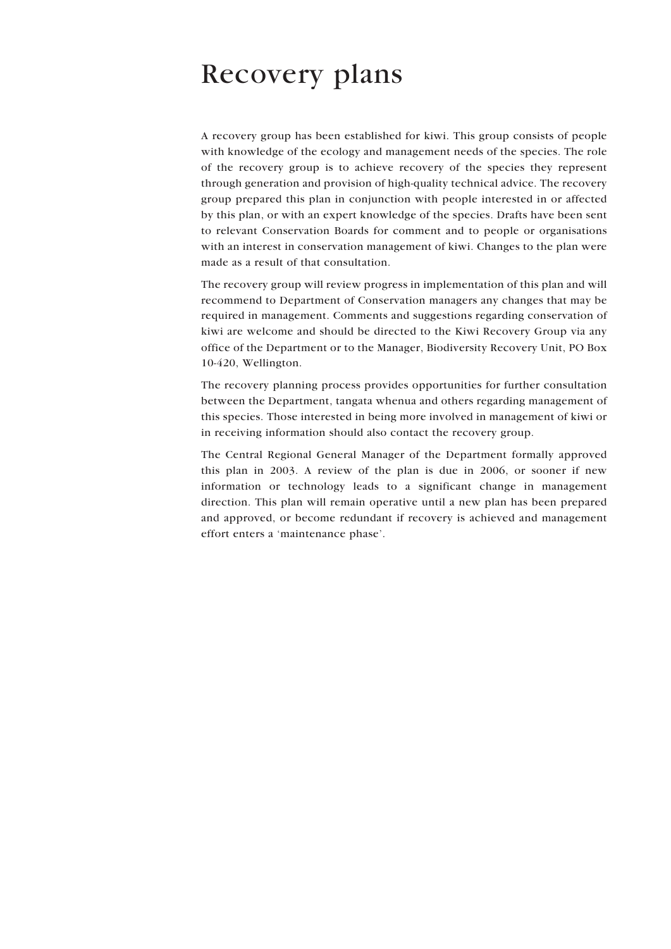# Recovery plans

A recovery group has been established for kiwi. This group consists of people with knowledge of the ecology and management needs of the species. The role of the recovery group is to achieve recovery of the species they represent through generation and provision of high-quality technical advice. The recovery group prepared this plan in conjunction with people interested in or affected by this plan, or with an expert knowledge of the species. Drafts have been sent to relevant Conservation Boards for comment and to people or organisations with an interest in conservation management of kiwi. Changes to the plan were made as a result of that consultation.

The recovery group will review progress in implementation of this plan and will recommend to Department of Conservation managers any changes that may be required in management. Comments and suggestions regarding conservation of kiwi are welcome and should be directed to the Kiwi Recovery Group via any office of the Department or to the Manager, Biodiversity Recovery Unit, PO Box 10-420, Wellington.

The recovery planning process provides opportunities for further consultation between the Department, tangata whenua and others regarding management of this species. Those interested in being more involved in management of kiwi or in receiving information should also contact the recovery group.

The Central Regional General Manager of the Department formally approved this plan in 2003. A review of the plan is due in 2006, or sooner if new information or technology leads to a significant change in management direction. This plan will remain operative until a new plan has been prepared and approved, or become redundant if recovery is achieved and management effort enters a 'maintenance phase'.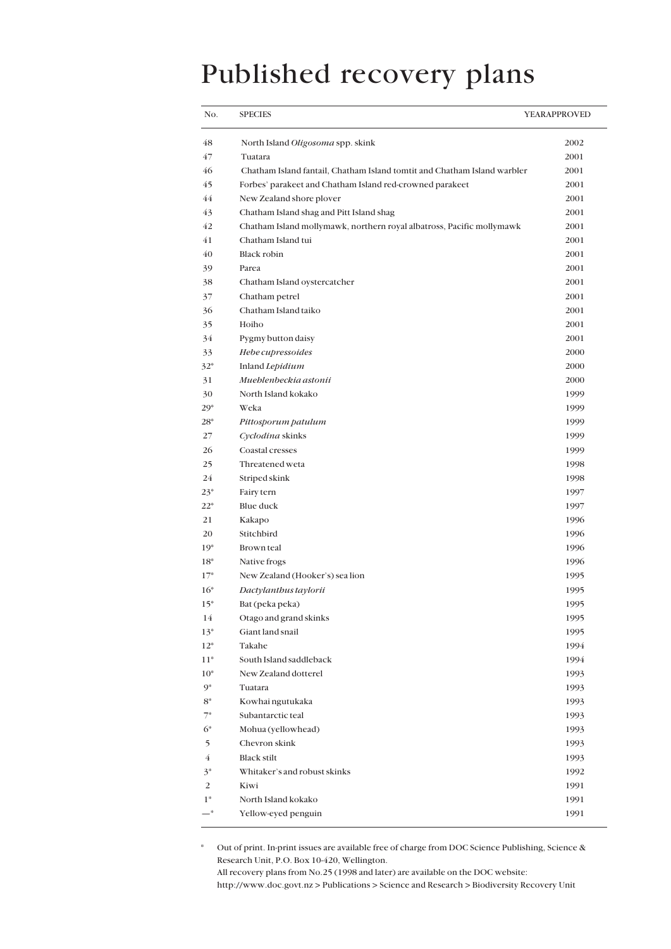# Published recovery plans

| No.   | <b>SPECIES</b>                                                           | YEARAPPROVED |
|-------|--------------------------------------------------------------------------|--------------|
| 48    | North Island Oligosoma spp. skink                                        | 2002         |
| 47    | Tuatara                                                                  | 2001         |
| 46    | Chatham Island fantail, Chatham Island tomtit and Chatham Island warbler | 2001         |
| 45    | Forbes' parakeet and Chatham Island red-crowned parakeet                 | 2001         |
| 44    | New Zealand shore plover                                                 | 2001         |
| 43    | Chatham Island shag and Pitt Island shag                                 | 2001         |
| 42    | Chatham Island mollymawk, northern royal albatross, Pacific mollymawk    | 2001         |
| 41    | Chatham Island tui                                                       | 2001         |
| 40    | <b>Black robin</b>                                                       | 2001         |
| 39    | Parea                                                                    | 2001         |
| 38    | Chatham Island oystercatcher                                             | 2001         |
| 37    | Chatham petrel                                                           | 2001         |
| 36    | Chatham Island taiko                                                     | 2001         |
| 35    | Hoiho                                                                    | 2001         |
| 34    | Pygmy button daisy                                                       | 2001         |
| 33    | Hebe cupressoides                                                        | 2000         |
| $32*$ | Inland Lepidium                                                          | 2000         |
| 31    | Muehlenbeckia astonii                                                    | 2000         |
| 30    | North Island kokako                                                      | 1999         |
| $29*$ | Weka                                                                     | 1999         |
| $28*$ | Pittosporum patulum                                                      | 1999         |
| 27    | Cyclodina skinks                                                         | 1999         |
| 26    | Coastal cresses                                                          | 1999         |
| 25    | Threatened weta                                                          | 1998         |
| 24    | Striped skink                                                            | 1998         |
| $23*$ | Fairy tern                                                               | 1997         |
| $22*$ | Blue duck                                                                | 1997         |
| 21    | Kakapo                                                                   | 1996         |
| 20    | Stitchbird                                                               | 1996         |
| $19*$ | <b>Brown</b> teal                                                        | 1996         |
| $18*$ | Native frogs                                                             | 1996         |
| $17*$ | New Zealand (Hooker's) sea lion                                          | 1995         |
| $16*$ | Dactylanthus taylorii                                                    | 1995         |
| $15*$ | Bat (peka peka)                                                          | 1995         |
| 14    | Otago and grand skinks                                                   | 1995         |
| $13*$ | Giant land snail                                                         | 1995         |
| $12*$ | Takahe                                                                   | 1994         |
| $11*$ | South Island saddleback                                                  | 1994         |
| $10*$ | New Zealand dotterel                                                     | 1993         |
| $9*$  | Tuatara                                                                  | 1993         |
| $8*$  | Kowhai ngutukaka                                                         | 1993         |
| $7^*$ | Subantarctic teal                                                        | 1993         |
| $6*$  | Mohua (yellowhead)                                                       | 1993         |
| 5     | Chevron skink                                                            | 1993         |
| 4     | <b>Black stilt</b>                                                       | 1993         |
| $3^*$ | Whitaker's and robust skinks                                             | 1992         |
| 2     | Kiwi                                                                     | 1991         |
| $1*$  | North Island kokako                                                      | 1991         |
| —*    | Yellow-eyed penguin                                                      | 1991         |

\* Out of print. In-print issues are available free of charge from DOC Science Publishing, Science & Research Unit, P.O. Box 10-420, Wellington. All recovery plans from No.25 (1998 and later) are available on the DOC website:

http://www.doc.govt.nz > Publications > Science and Research > Biodiversity Recovery Unit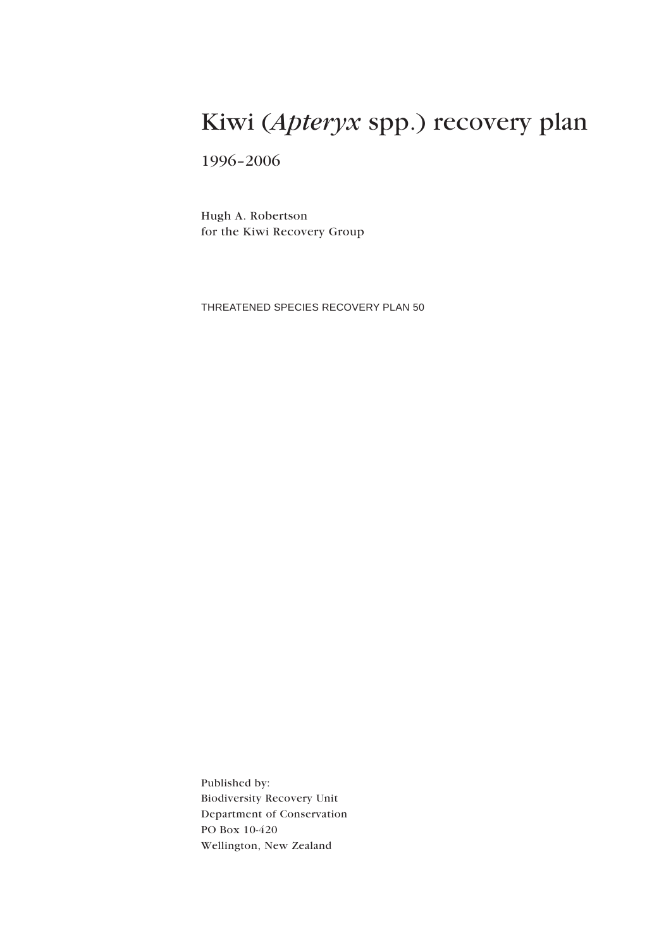# Kiwi (*Apteryx* spp.) recovery plan

1996–2006

Hugh A. Robertson for the Kiwi Recovery Group

THREATENED SPECIES RECOVERY PLAN 50

Published by: Biodiversity Recovery Unit Department of Conservation PO Box 10-420 Wellington, New Zealand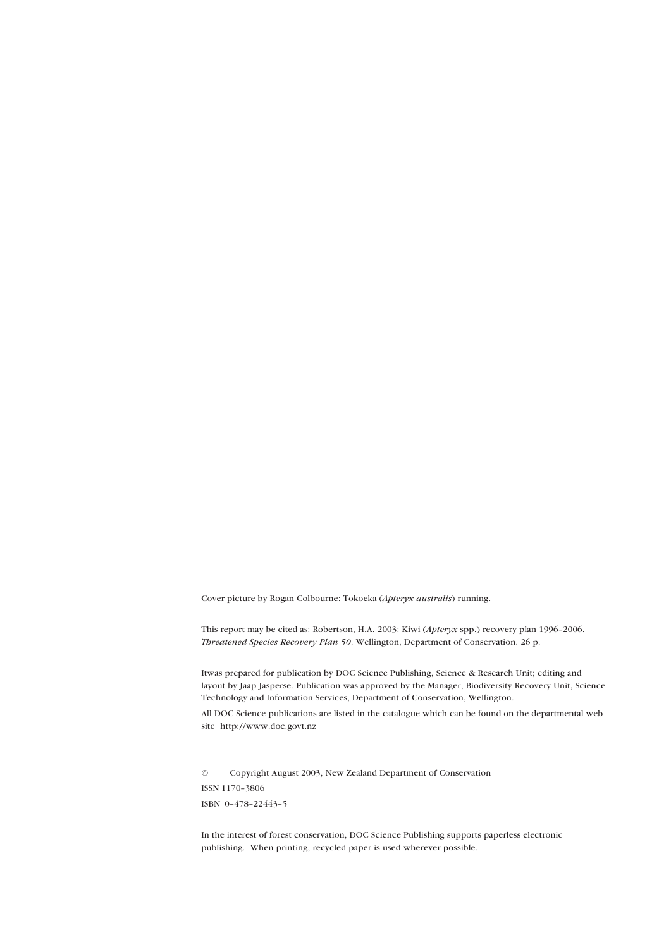Cover picture by Rogan Colbourne: Tokoeka (*Apteryx australis*) running.

This report may be cited as: Robertson, H.A. 2003: Kiwi (*Apteryx* spp.) recovery plan 1996–2006. *Threatened Species Recovery Plan 50*. Wellington, Department of Conservation. 26 p.

Itwas prepared for publication by DOC Science Publishing, Science & Research Unit; editing and layout by Jaap Jasperse. Publication was approved by the Manager, Biodiversity Recovery Unit, Science Technology and Information Services, Department of Conservation, Wellington.

All DOC Science publications are listed in the catalogue which can be found on the departmental web site http://www.doc.govt.nz

© Copyright August 2003, New Zealand Department of Conservation ISSN 1170–3806 ISBN 0–478–22443–5

In the interest of forest conservation, DOC Science Publishing supports paperless electronic publishing. When printing, recycled paper is used wherever possible.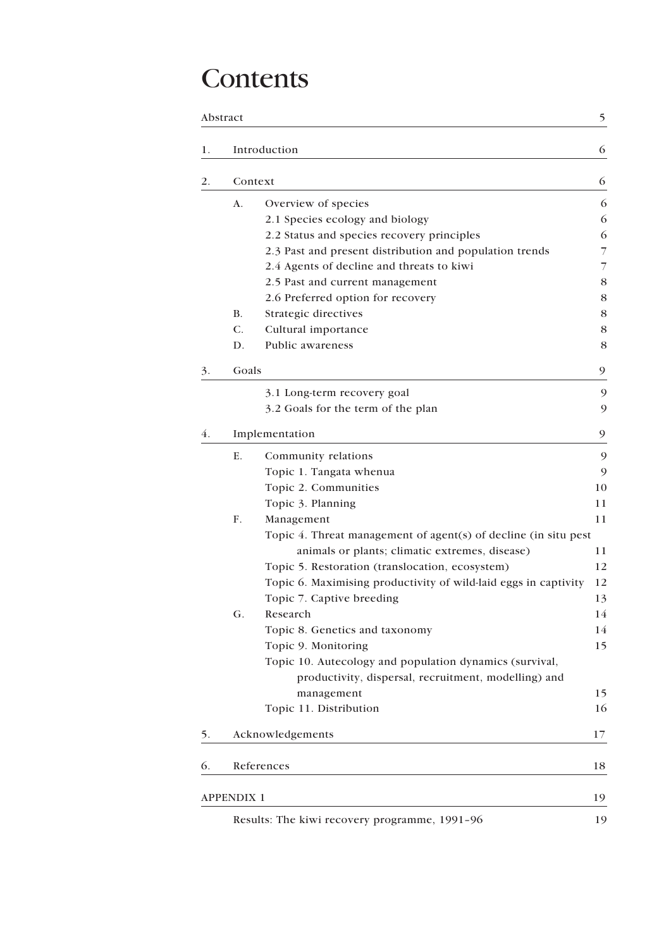# **Contents**

|    | Abstract          |                                                                 | 5  |
|----|-------------------|-----------------------------------------------------------------|----|
| 1. |                   | Introduction                                                    | 6  |
| 2. |                   | Context                                                         | 6  |
|    | A.                | Overview of species                                             | 6  |
|    |                   | 2.1 Species ecology and biology                                 | 6  |
|    |                   | 2.2 Status and species recovery principles                      | 6  |
|    |                   | 2.3 Past and present distribution and population trends         | 7  |
|    |                   | 2.4 Agents of decline and threats to kiwi                       | 7  |
|    |                   | 2.5 Past and current management                                 | 8  |
|    |                   | 2.6 Preferred option for recovery                               | 8  |
|    | В.                | Strategic directives                                            | 8  |
|    | C.                | Cultural importance                                             | 8  |
|    | D.                | Public awareness                                                | 8  |
| 3. | Goals             |                                                                 | 9  |
|    |                   | 3.1 Long-term recovery goal                                     | 9  |
|    |                   | 3.2 Goals for the term of the plan                              | 9  |
|    |                   |                                                                 |    |
| 4. |                   | Implementation                                                  | 9  |
|    | Ε.                | Community relations                                             | 9  |
|    |                   | Topic 1. Tangata whenua                                         | 9  |
|    |                   | Topic 2. Communities                                            | 10 |
|    |                   | Topic 3. Planning                                               | 11 |
|    | F.                | Management                                                      | 11 |
|    |                   | Topic 4. Threat management of agent(s) of decline (in situ pest |    |
|    |                   | animals or plants; climatic extremes, disease)                  | 11 |
|    |                   | Topic 5. Restoration (translocation, ecosystem)                 | 12 |
|    |                   | Topic 6. Maximising productivity of wild-laid eggs in captivity | 12 |
|    |                   | Topic 7. Captive breeding                                       | 13 |
|    | G.                | Research                                                        | 14 |
|    |                   | Topic 8. Genetics and taxonomy                                  | 14 |
|    |                   | Topic 9. Monitoring                                             | 15 |
|    |                   | Topic 10. Autecology and population dynamics (survival,         |    |
|    |                   | productivity, dispersal, recruitment, modelling) and            |    |
|    |                   | management                                                      | 15 |
|    |                   | Topic 11. Distribution                                          | 16 |
| 5. |                   | Acknowledgements                                                | 17 |
| 6. |                   | References                                                      | 18 |
|    | <b>APPENDIX 1</b> |                                                                 | 19 |
|    |                   | Results: The kiwi recovery programme, 1991-96                   | 19 |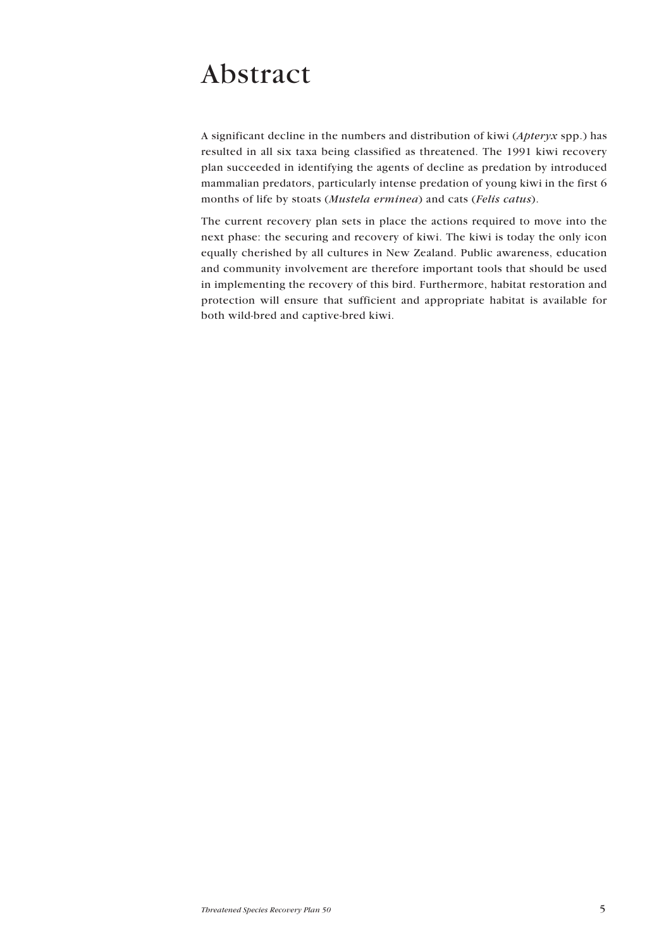# Abstract

A significant decline in the numbers and distribution of kiwi (*Apteryx* spp.) has resulted in all six taxa being classified as threatened. The 1991 kiwi recovery plan succeeded in identifying the agents of decline as predation by introduced mammalian predators, particularly intense predation of young kiwi in the first 6 months of life by stoats (*Mustela erminea*) and cats (*Felis catus*).

The current recovery plan sets in place the actions required to move into the next phase: the securing and recovery of kiwi. The kiwi is today the only icon equally cherished by all cultures in New Zealand. Public awareness, education and community involvement are therefore important tools that should be used in implementing the recovery of this bird. Furthermore, habitat restoration and protection will ensure that sufficient and appropriate habitat is available for both wild-bred and captive-bred kiwi.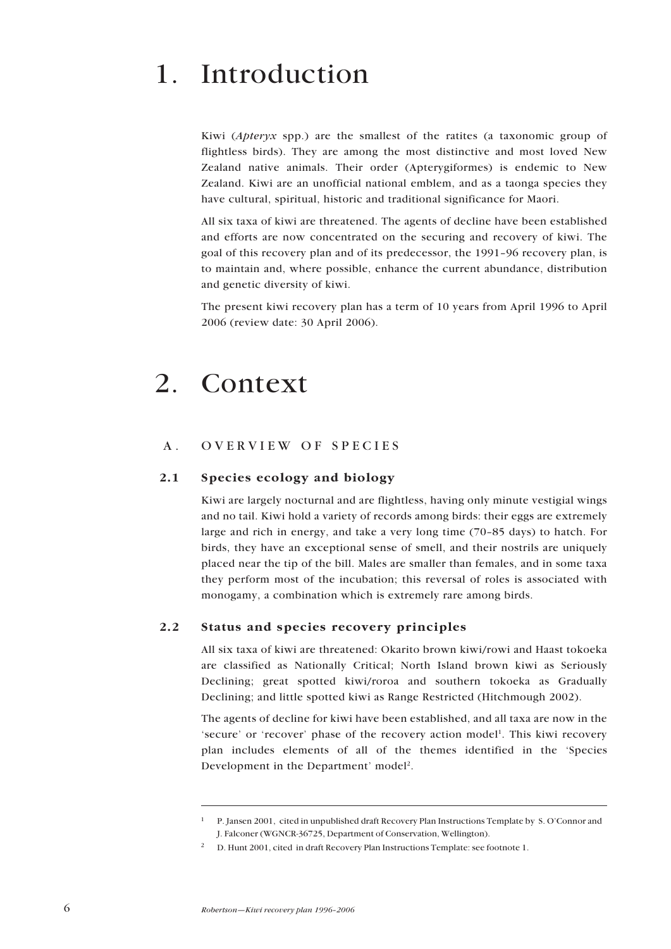# 1. Introduction

Kiwi (*Apteryx* spp.) are the smallest of the ratites (a taxonomic group of flightless birds). They are among the most distinctive and most loved New Zealand native animals. Their order (Apterygiformes) is endemic to New Zealand. Kiwi are an unofficial national emblem, and as a taonga species they have cultural, spiritual, historic and traditional significance for Maori.

All six taxa of kiwi are threatened. The agents of decline have been established and efforts are now concentrated on the securing and recovery of kiwi. The goal of this recovery plan and of its predecessor, the 1991–96 recovery plan, is to maintain and, where possible, enhance the current abundance, distribution and genetic diversity of kiwi.

The present kiwi recovery plan has a term of 10 years from April 1996 to April 2006 (review date: 30 April 2006).

# 2. Context

## A. OVERVIEW OF SPECIES

## 2.1 Species ecology and biology

Kiwi are largely nocturnal and are flightless, having only minute vestigial wings and no tail. Kiwi hold a variety of records among birds: their eggs are extremely large and rich in energy, and take a very long time (70–85 days) to hatch. For birds, they have an exceptional sense of smell, and their nostrils are uniquely placed near the tip of the bill. Males are smaller than females, and in some taxa they perform most of the incubation; this reversal of roles is associated with monogamy, a combination which is extremely rare among birds.

## 2.2 Status and species recovery principles

All six taxa of kiwi are threatened: Okarito brown kiwi/rowi and Haast tokoeka are classified as Nationally Critical; North Island brown kiwi as Seriously Declining; great spotted kiwi/roroa and southern tokoeka as Gradually Declining; and little spotted kiwi as Range Restricted (Hitchmough 2002).

The agents of decline for kiwi have been established, and all taxa are now in the 'secure' or 'recover' phase of the recovery action model<sup>1</sup>. This kiwi recovery plan includes elements of all of the themes identified in the 'Species Development in the Department' model<sup>2</sup>.

<sup>1</sup> P. Jansen 2001, cited in unpublished draft Recovery Plan Instructions Template by S. O'Connor and J. Falconer (WGNCR-36725, Department of Conservation, Wellington).

<sup>2</sup> D. Hunt 2001, cited in draft Recovery Plan Instructions Template: see footnote 1.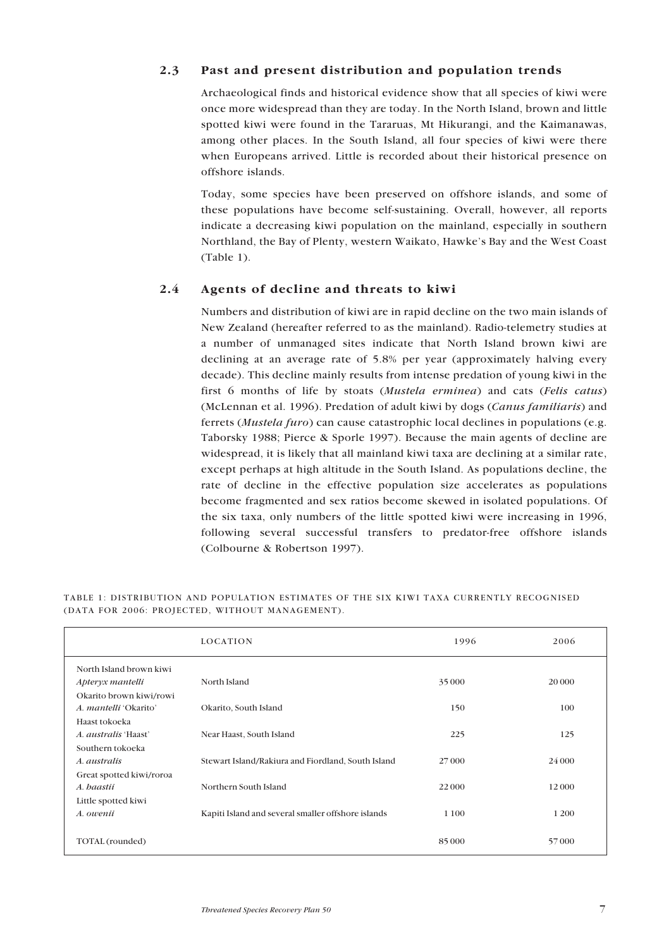## 2.3 Past and present distribution and population trends

Archaeological finds and historical evidence show that all species of kiwi were once more widespread than they are today. In the North Island, brown and little spotted kiwi were found in the Tararuas, Mt Hikurangi, and the Kaimanawas, among other places. In the South Island, all four species of kiwi were there when Europeans arrived. Little is recorded about their historical presence on offshore islands.

Today, some species have been preserved on offshore islands, and some of these populations have become self-sustaining. Overall, however, all reports indicate a decreasing kiwi population on the mainland, especially in southern Northland, the Bay of Plenty, western Waikato, Hawke's Bay and the West Coast (Table 1).

## 2.4 Agents of decline and threats to kiwi

Numbers and distribution of kiwi are in rapid decline on the two main islands of New Zealand (hereafter referred to as the mainland). Radio-telemetry studies at a number of unmanaged sites indicate that North Island brown kiwi are declining at an average rate of 5.8% per year (approximately halving every decade). This decline mainly results from intense predation of young kiwi in the first 6 months of life by stoats (*Mustela erminea*) and cats (*Felis catus*) (McLennan et al. 1996). Predation of adult kiwi by dogs (*Canus familiaris*) and ferrets (*Mustela furo*) can cause catastrophic local declines in populations (e.g. Taborsky 1988; Pierce & Sporle 1997). Because the main agents of decline are widespread, it is likely that all mainland kiwi taxa are declining at a similar rate, except perhaps at high altitude in the South Island. As populations decline, the rate of decline in the effective population size accelerates as populations become fragmented and sex ratios become skewed in isolated populations. Of the six taxa, only numbers of the little spotted kiwi were increasing in 1996, following several successful transfers to predator-free offshore islands (Colbourne & Robertson 1997).

|                              | <b>LOCATION</b>                                    | 1996    | 2006   |
|------------------------------|----------------------------------------------------|---------|--------|
| North Island brown kiwi      |                                                    |         |        |
| Apteryx mantelli             | North Island                                       | 35 000  | 20 000 |
| Okarito brown kiwi/rowi      |                                                    |         |        |
| A. <i>mantelli</i> 'Okarito' | Okarito, South Island                              | 150     | 100    |
| Haast tokoeka                |                                                    |         |        |
| A. <i>australis</i> 'Haast'  | Near Haast, South Island                           | 225     | 125    |
| Southern tokoeka             |                                                    |         |        |
| A. australis                 | Stewart Island/Rakiura and Fiordland, South Island | 27 000  | 24 000 |
| Great spotted kiwi/roroa     |                                                    |         |        |
| A. baastii                   | Northern South Island                              | 22 000  | 12000  |
| Little spotted kiwi          |                                                    |         |        |
| A. owenii                    | Kapiti Island and several smaller offshore islands | 1 1 0 0 | 1 200  |
|                              |                                                    |         |        |
| TOTAL (rounded)              |                                                    | 85 000  | 57000  |

#### TABLE 1: DISTRIBUTION AND POPULATION ESTIMATES OF THE SIX KIWI TAXA CURRENTLY RECOGNISED (DATA FOR 2006: PROJECTED, WITHOUT MANAGEMENT).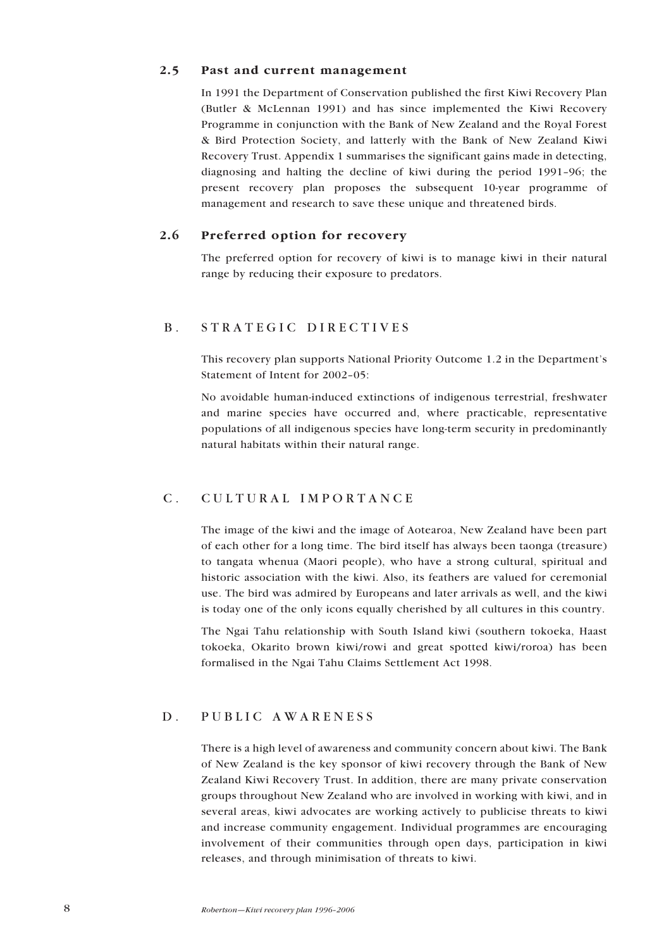### 2.5 Past and current management

In 1991 the Department of Conservation published the first Kiwi Recovery Plan (Butler & McLennan 1991) and has since implemented the Kiwi Recovery Programme in conjunction with the Bank of New Zealand and the Royal Forest & Bird Protection Society, and latterly with the Bank of New Zealand Kiwi Recovery Trust. Appendix 1 summarises the significant gains made in detecting, diagnosing and halting the decline of kiwi during the period 1991–96; the present recovery plan proposes the subsequent 10-year programme of management and research to save these unique and threatened birds.

## 2.6 Preferred option for recovery

The preferred option for recovery of kiwi is to manage kiwi in their natural range by reducing their exposure to predators.

## B. STRATEGIC DIRECTIVES

This recovery plan supports National Priority Outcome 1.2 in the Department's Statement of Intent for 2002–05:

No avoidable human-induced extinctions of indigenous terrestrial, freshwater and marine species have occurred and, where practicable, representative populations of all indigenous species have long-term security in predominantly natural habitats within their natural range.

# C. CULTURAL IMPORTANCE

The image of the kiwi and the image of Aotearoa, New Zealand have been part of each other for a long time. The bird itself has always been taonga (treasure) to tangata whenua (Maori people), who have a strong cultural, spiritual and historic association with the kiwi. Also, its feathers are valued for ceremonial use. The bird was admired by Europeans and later arrivals as well, and the kiwi is today one of the only icons equally cherished by all cultures in this country.

The Ngai Tahu relationship with South Island kiwi (southern tokoeka, Haast tokoeka, Okarito brown kiwi/rowi and great spotted kiwi/roroa) has been formalised in the Ngai Tahu Claims Settlement Act 1998.

## D. PUBLIC AWARENESS

There is a high level of awareness and community concern about kiwi. The Bank of New Zealand is the key sponsor of kiwi recovery through the Bank of New Zealand Kiwi Recovery Trust. In addition, there are many private conservation groups throughout New Zealand who are involved in working with kiwi, and in several areas, kiwi advocates are working actively to publicise threats to kiwi and increase community engagement. Individual programmes are encouraging involvement of their communities through open days, participation in kiwi releases, and through minimisation of threats to kiwi.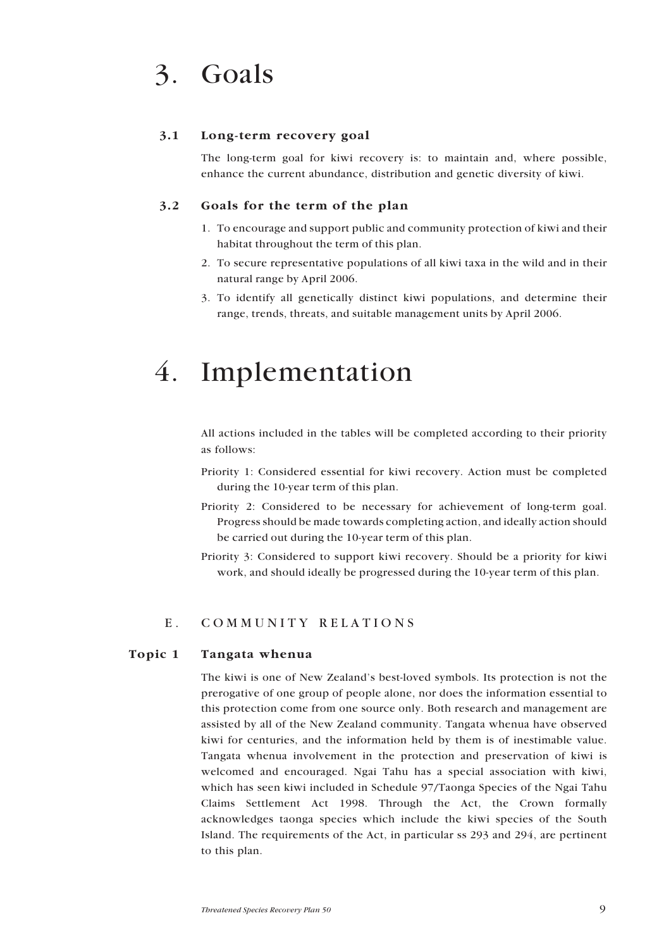# 3. Goals

## 3.1 Long-term recovery goal

The long-term goal for kiwi recovery is: to maintain and, where possible, enhance the current abundance, distribution and genetic diversity of kiwi.

## 3.2 Goals for the term of the plan

- 1. To encourage and support public and community protection of kiwi and their habitat throughout the term of this plan.
- 2. To secure representative populations of all kiwi taxa in the wild and in their natural range by April 2006.
- 3. To identify all genetically distinct kiwi populations, and determine their range, trends, threats, and suitable management units by April 2006.

# 4. Implementation

All actions included in the tables will be completed according to their priority as follows:

- Priority 1: Considered essential for kiwi recovery. Action must be completed during the 10-year term of this plan.
- Priority 2: Considered to be necessary for achievement of long-term goal. Progress should be made towards completing action, and ideally action should be carried out during the 10-year term of this plan.
- Priority 3: Considered to support kiwi recovery. Should be a priority for kiwi work, and should ideally be progressed during the 10-year term of this plan.

## E. COMMUNITY RELATIONS

### **Topic 1 Tangata whenua**

The kiwi is one of New Zealand's best-loved symbols. Its protection is not the prerogative of one group of people alone, nor does the information essential to this protection come from one source only. Both research and management are assisted by all of the New Zealand community. Tangata whenua have observed kiwi for centuries, and the information held by them is of inestimable value. Tangata whenua involvement in the protection and preservation of kiwi is welcomed and encouraged. Ngai Tahu has a special association with kiwi, which has seen kiwi included in Schedule 97/Taonga Species of the Ngai Tahu Claims Settlement Act 1998. Through the Act, the Crown formally acknowledges taonga species which include the kiwi species of the South Island. The requirements of the Act, in particular ss 293 and 294, are pertinent to this plan.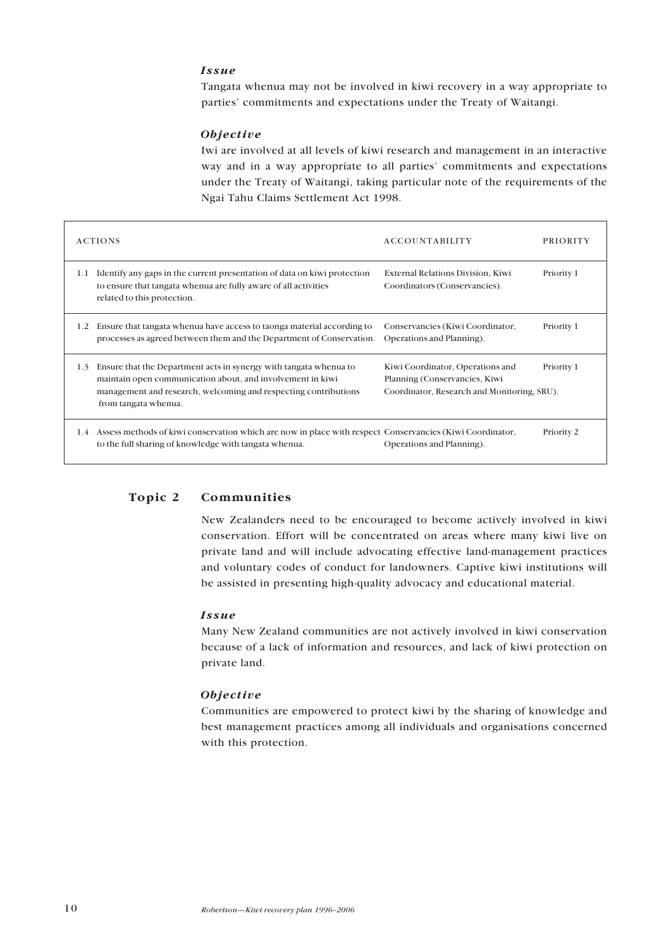## *Issue*

Tangata whenua may not be involved in kiwi recovery in a way appropriate to parties' commitments and expectations under the Treaty of Waitangi.

#### *Objective*

Iwi are involved at all levels of kiwi research and management in an interactive way and in a way appropriate to all parties' commitments and expectations under the Treaty of Waitangi, taking particular note of the requirements of the Ngai Tahu Claims Settlement Act 1998.

|               | <b>ACTIONS</b>                                                                                                                                                                                                             | <b>ACCOUNTABILITY</b>                                                                                            | <b>PRIORITY</b> |
|---------------|----------------------------------------------------------------------------------------------------------------------------------------------------------------------------------------------------------------------------|------------------------------------------------------------------------------------------------------------------|-----------------|
| 1.1           | Identify any gaps in the current presentation of data on kiwi protection<br>to ensure that tangata when a are fully aware of all activities<br>related to this protection.                                                 | External Relations Division, Kiwi<br>Coordinators (Conservancies).                                               | Priority 1      |
| 1.2           | Ensure that tangata whenua have access to taonga material according to<br>processes as agreed between them and the Department of Conservation.                                                                             | Conservancies (Kiwi Coordinator,<br>Operations and Planning).                                                    | Priority 1      |
| 1.3           | Ensure that the Department acts in synergy with tangata when a to<br>maintain open communication about, and involvement in kiwi<br>management and research, welcoming and respecting contributions<br>from tangata whenua. | Kiwi Coordinator, Operations and<br>Planning (Conservancies, Kiwi<br>Coordinator, Research and Monitoring, SRU). | Priority 1      |
| $1.4^{\circ}$ | Assess methods of kiwi conservation which are now in place with respect Conservancies (Kiwi Coordinator,<br>to the full sharing of knowledge with tangata whenua.                                                          | Operations and Planning).                                                                                        | Priority 2      |

### **Topic 2 Communities**

New Zealanders need to be encouraged to become actively involved in kiwi conservation. Effort will be concentrated on areas where many kiwi live on private land and will include advocating effective land-management practices and voluntary codes of conduct for landowners. Captive kiwi institutions will be assisted in presenting high-quality advocacy and educational material.

#### *Issue*

Many New Zealand communities are not actively involved in kiwi conservation because of a lack of information and resources, and lack of kiwi protection on private land.

#### *Objective*

Communities are empowered to protect kiwi by the sharing of knowledge and best management practices among all individuals and organisations concerned with this protection.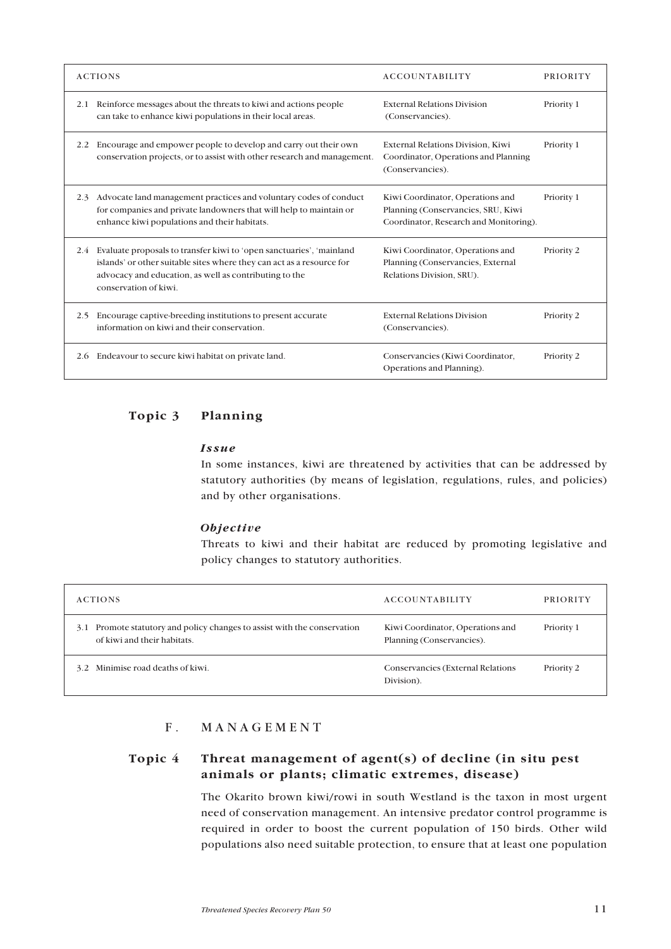|     | <b>ACTIONS</b>                                                                                                                                                                                                                   | <b>ACCOUNTABILITY</b>                                                                                            | PRIORITY   |
|-----|----------------------------------------------------------------------------------------------------------------------------------------------------------------------------------------------------------------------------------|------------------------------------------------------------------------------------------------------------------|------------|
| 2.1 | Reinforce messages about the threats to kiwi and actions people<br>can take to enhance kiwi populations in their local areas.                                                                                                    | <b>External Relations Division</b><br>(Conservancies).                                                           | Priority 1 |
| 2.2 | Encourage and empower people to develop and carry out their own<br>conservation projects, or to assist with other research and management.                                                                                       | External Relations Division, Kiwi<br>Coordinator, Operations and Planning<br>(Conservancies).                    | Priority 1 |
| 2.3 | Advocate land management practices and voluntary codes of conduct<br>for companies and private landowners that will help to maintain or<br>enhance kiwi populations and their habitats.                                          | Kiwi Coordinator, Operations and<br>Planning (Conservancies, SRU, Kiwi<br>Coordinator, Research and Monitoring). | Priority 1 |
| 2.4 | Evaluate proposals to transfer kiwi to 'open sanctuaries', 'mainland<br>islands' or other suitable sites where they can act as a resource for<br>advocacy and education, as well as contributing to the<br>conservation of kiwi. | Kiwi Coordinator, Operations and<br>Planning (Conservancies, External<br>Relations Division, SRU).               | Priority 2 |
| 2.5 | Encourage captive-breeding institutions to present accurate<br>information on kiwi and their conservation.                                                                                                                       | <b>External Relations Division</b><br>(Conservancies).                                                           | Priority 2 |
| 2.6 | Endeavour to secure kiwi habitat on private land.                                                                                                                                                                                | Conservancies (Kiwi Coordinator,<br>Operations and Planning).                                                    | Priority 2 |

# **Topic 3 Planning**

#### *Issue*

In some instances, kiwi are threatened by activities that can be addressed by statutory authorities (by means of legislation, regulations, rules, and policies) and by other organisations.

### *Objective*

Threats to kiwi and their habitat are reduced by promoting legislative and policy changes to statutory authorities.

| <b>ACTIONS</b>                                                                                             | <b>ACCOUNTABILITY</b>                                         | <b>PRIORITY</b> |
|------------------------------------------------------------------------------------------------------------|---------------------------------------------------------------|-----------------|
| Promote statutory and policy changes to assist with the conservation<br>3.1<br>of kiwi and their habitats. | Kiwi Coordinator, Operations and<br>Planning (Conservancies). | Priority 1      |
| 3.2 Minimise road deaths of kiwi.                                                                          | Conservancies (External Relations<br>Division).               | Priority 2      |

## F. MANAGEMENT

## **Topic 4 Threat management of agent(s) of decline (in situ pest animals or plants; climatic extremes, disease)**

The Okarito brown kiwi/rowi in south Westland is the taxon in most urgent need of conservation management. An intensive predator control programme is required in order to boost the current population of 150 birds. Other wild populations also need suitable protection, to ensure that at least one population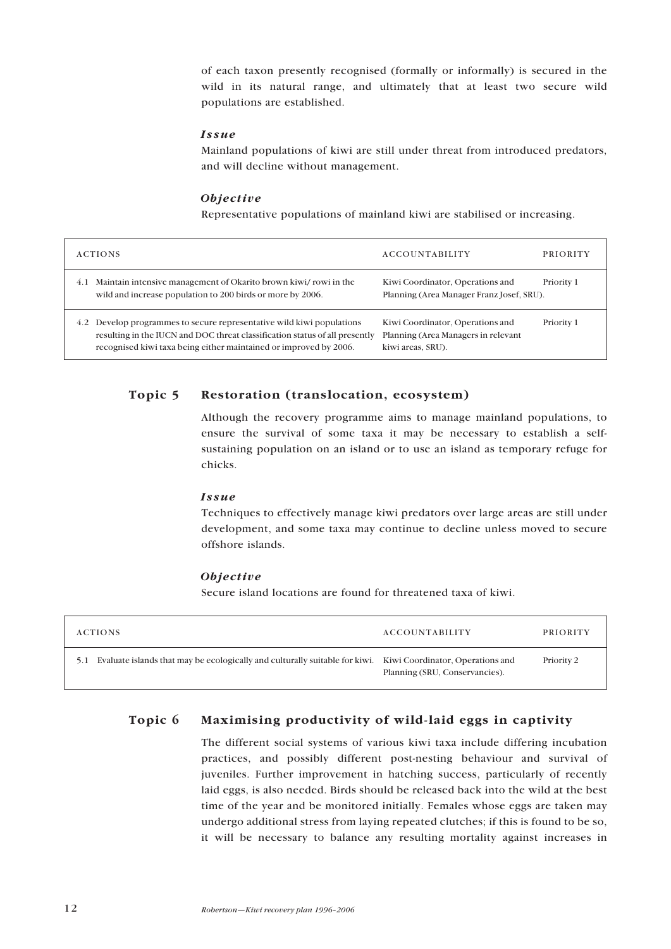of each taxon presently recognised (formally or informally) is secured in the wild in its natural range, and ultimately that at least two secure wild populations are established.

#### *Issue*

Mainland populations of kiwi are still under threat from introduced predators, and will decline without management.

#### *Objective*

Representative populations of mainland kiwi are stabilised or increasing.

|     | <b>ACTIONS</b>                                                                                                                                                                                                        | <b>ACCOUNTABILITY</b>                                                                        | PRIORITY   |
|-----|-----------------------------------------------------------------------------------------------------------------------------------------------------------------------------------------------------------------------|----------------------------------------------------------------------------------------------|------------|
| 4.1 | Maintain intensive management of Okarito brown kiwi/rowi in the<br>wild and increase population to 200 birds or more by 2006.                                                                                         | Kiwi Coordinator, Operations and<br>Planning (Area Manager Franz Josef, SRU).                | Priority 1 |
| 4.2 | Develop programmes to secure representative wild kiwi populations<br>resulting in the IUCN and DOC threat classification status of all presently<br>recognised kiwi taxa being either maintained or improved by 2006. | Kiwi Coordinator, Operations and<br>Planning (Area Managers in relevant<br>kiwi areas, SRU). | Priority 1 |

## **Topic 5 Restoration (translocation, ecosystem)**

Although the recovery programme aims to manage mainland populations, to ensure the survival of some taxa it may be necessary to establish a selfsustaining population on an island or to use an island as temporary refuge for chicks.

#### *Issue*

Techniques to effectively manage kiwi predators over large areas are still under development, and some taxa may continue to decline unless moved to secure offshore islands.

## *Objective*

Secure island locations are found for threatened taxa of kiwi.

| <b>ACTIONS</b>                                                                                                      | ACCOUNTABILITY                 | <b>PRIORITY</b> |
|---------------------------------------------------------------------------------------------------------------------|--------------------------------|-----------------|
| Evaluate islands that may be ecologically and culturally suitable for kiwi. Kiwi Coordinator, Operations and<br>5.1 | Planning (SRU, Conservancies). | Priority 2      |

## **Topic 6 Maximising productivity of wild-laid eggs in captivity**

The different social systems of various kiwi taxa include differing incubation practices, and possibly different post-nesting behaviour and survival of juveniles. Further improvement in hatching success, particularly of recently laid eggs, is also needed. Birds should be released back into the wild at the best time of the year and be monitored initially. Females whose eggs are taken may undergo additional stress from laying repeated clutches; if this is found to be so, it will be necessary to balance any resulting mortality against increases in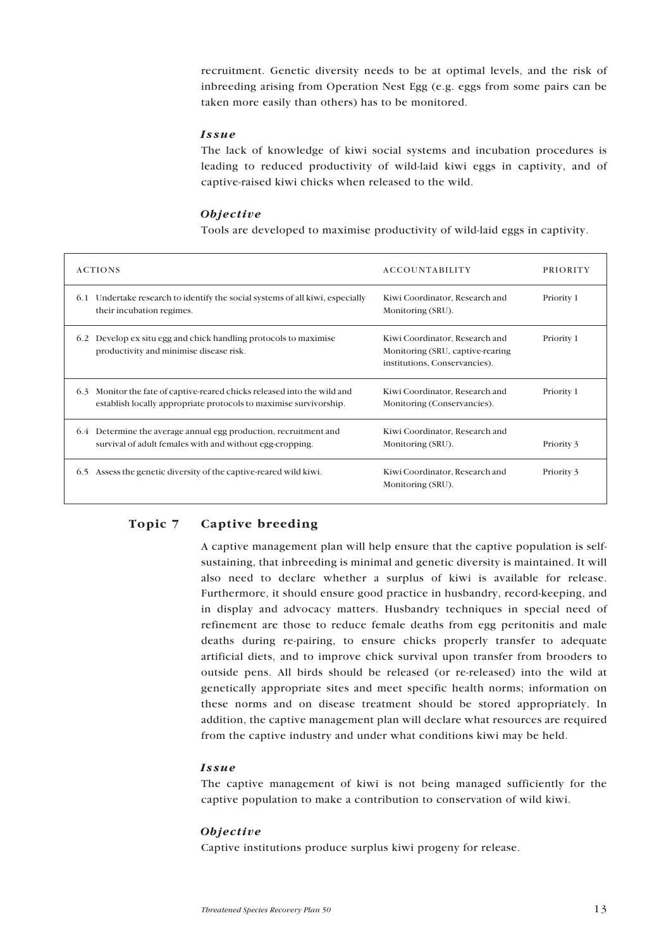recruitment. Genetic diversity needs to be at optimal levels, and the risk of inbreeding arising from Operation Nest Egg (e.g. eggs from some pairs can be taken more easily than others) has to be monitored.

#### *Issue*

The lack of knowledge of kiwi social systems and incubation procedures is leading to reduced productivity of wild-laid kiwi eggs in captivity, and of captive-raised kiwi chicks when released to the wild.

### *Objective*

Tools are developed to maximise productivity of wild-laid eggs in captivity.

| <b>ACTIONS</b>                                                                                                                                   | <b>ACCOUNTABILITY</b>                                                                               | <b>PRIORITY</b> |
|--------------------------------------------------------------------------------------------------------------------------------------------------|-----------------------------------------------------------------------------------------------------|-----------------|
| Undertake research to identify the social systems of all kiwi, especially<br>6.1<br>their incubation regimes.                                    | Kiwi Coordinator, Research and<br>Monitoring (SRU).                                                 | Priority 1      |
| Develop ex situ egg and chick handling protocols to maximise<br>6.2<br>productivity and minimise disease risk.                                   | Kiwi Coordinator, Research and<br>Monitoring (SRU, captive-rearing<br>institutions, Conservancies). | Priority 1      |
| Monitor the fate of captive-reared chicks released into the wild and<br>6.3<br>establish locally appropriate protocols to maximise survivorship. | Kiwi Coordinator, Research and<br>Monitoring (Conservancies).                                       | Priority 1      |
| Determine the average annual egg production, recruitment and<br>6.4<br>survival of a dult females with and without egg-cropping.                 | Kiwi Coordinator, Research and<br>Monitoring (SRU).                                                 | Priority 3      |
| Assess the genetic diversity of the captive-reared wild kiwi.<br>6.5                                                                             | Kiwi Coordinator, Research and<br>Monitoring (SRU).                                                 | Priority 3      |

## **Topic 7 Captive breeding**

A captive management plan will help ensure that the captive population is selfsustaining, that inbreeding is minimal and genetic diversity is maintained. It will also need to declare whether a surplus of kiwi is available for release. Furthermore, it should ensure good practice in husbandry, record-keeping, and in display and advocacy matters. Husbandry techniques in special need of refinement are those to reduce female deaths from egg peritonitis and male deaths during re-pairing, to ensure chicks properly transfer to adequate artificial diets, and to improve chick survival upon transfer from brooders to outside pens. All birds should be released (or re-released) into the wild at genetically appropriate sites and meet specific health norms; information on these norms and on disease treatment should be stored appropriately. In addition, the captive management plan will declare what resources are required from the captive industry and under what conditions kiwi may be held.

### *Issue*

The captive management of kiwi is not being managed sufficiently for the captive population to make a contribution to conservation of wild kiwi.

#### *Objective*

Captive institutions produce surplus kiwi progeny for release.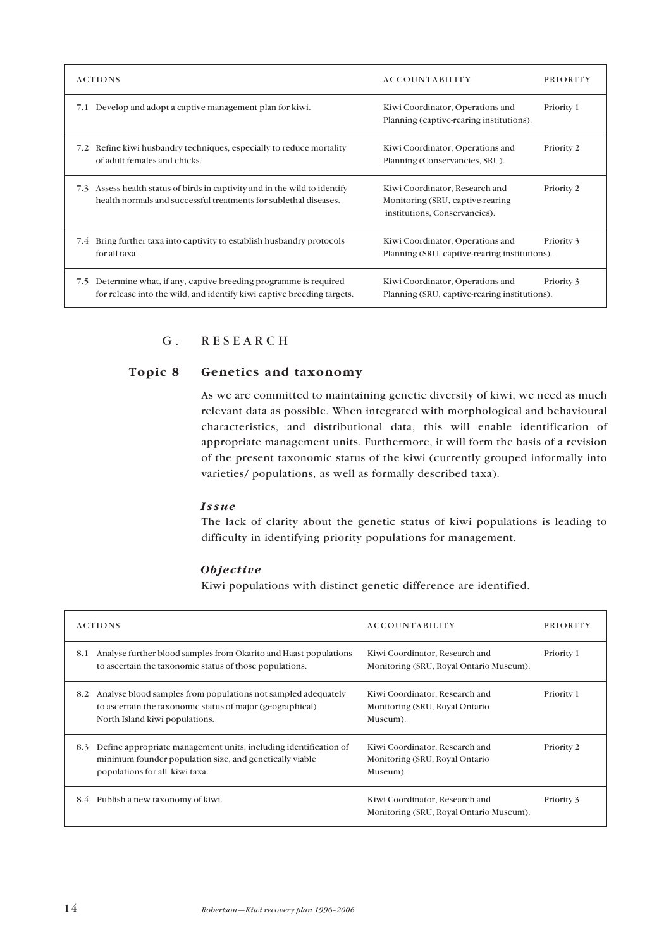| <b>ACTIONS</b>                                                                                                                                    | <b>ACCOUNTABILITY</b>                                                                               | <b>PRIORITY</b> |
|---------------------------------------------------------------------------------------------------------------------------------------------------|-----------------------------------------------------------------------------------------------------|-----------------|
| Develop and adopt a captive management plan for kiwi.<br>7.1                                                                                      | Kiwi Coordinator, Operations and<br>Planning (captive-rearing institutions).                        | Priority 1      |
| Refine kiwi husbandry techniques, especially to reduce mortality<br>7.2<br>of adult females and chicks.                                           | Kiwi Coordinator, Operations and<br>Planning (Conservancies, SRU).                                  | Priority 2      |
| Assess health status of birds in captivity and in the wild to identify<br>7.3<br>health normals and successful treatments for sublethal diseases. | Kiwi Coordinator, Research and<br>Monitoring (SRU, captive-rearing<br>institutions, Conservancies). | Priority 2      |
| Bring further taxa into captivity to establish husbandry protocols<br>7.4<br>for all taxa.                                                        | Kiwi Coordinator, Operations and<br>Planning (SRU, captive-rearing institutions).                   | Priority 3      |
| Determine what, if any, captive breeding programme is required<br>7.5<br>for release into the wild, and identify kiwi captive breeding targets.   | Kiwi Coordinator, Operations and<br>Planning (SRU, captive-rearing institutions).                   | Priority 3      |

# G. RESEARCH

## **Topic 8 Genetics and taxonomy**

As we are committed to maintaining genetic diversity of kiwi, we need as much relevant data as possible. When integrated with morphological and behavioural characteristics, and distributional data, this will enable identification of appropriate management units. Furthermore, it will form the basis of a revision of the present taxonomic status of the kiwi (currently grouped informally into varieties/ populations, as well as formally described taxa).

### *Issue*

The lack of clarity about the genetic status of kiwi populations is leading to difficulty in identifying priority populations for management.

## *Objective*

Kiwi populations with distinct genetic difference are identified.

| <b>ACTIONS</b>                                                                                                                                                       | <b>ACCOUNTABILITY</b>                                                        | <b>PRIORITY</b> |
|----------------------------------------------------------------------------------------------------------------------------------------------------------------------|------------------------------------------------------------------------------|-----------------|
| Analyse further blood samples from Okarito and Haast populations<br>8.1<br>to ascertain the taxonomic status of those populations.                                   | Kiwi Coordinator, Research and<br>Monitoring (SRU, Royal Ontario Museum).    | Priority 1      |
| Analyse blood samples from populations not sampled adequately<br>8.2<br>to ascertain the taxonomic status of major (geographical)<br>North Island kiwi populations.  | Kiwi Coordinator, Research and<br>Monitoring (SRU, Royal Ontario<br>Museum). | Priority 1      |
| Define appropriate management units, including identification of<br>8.3<br>minimum founder population size, and genetically viable<br>populations for all kiwi taxa. | Kiwi Coordinator, Research and<br>Monitoring (SRU, Royal Ontario<br>Museum). | Priority 2      |
| Publish a new taxonomy of kiwi.<br>8.4                                                                                                                               | Kiwi Coordinator, Research and<br>Monitoring (SRU, Roval Ontario Museum).    | Priority 3      |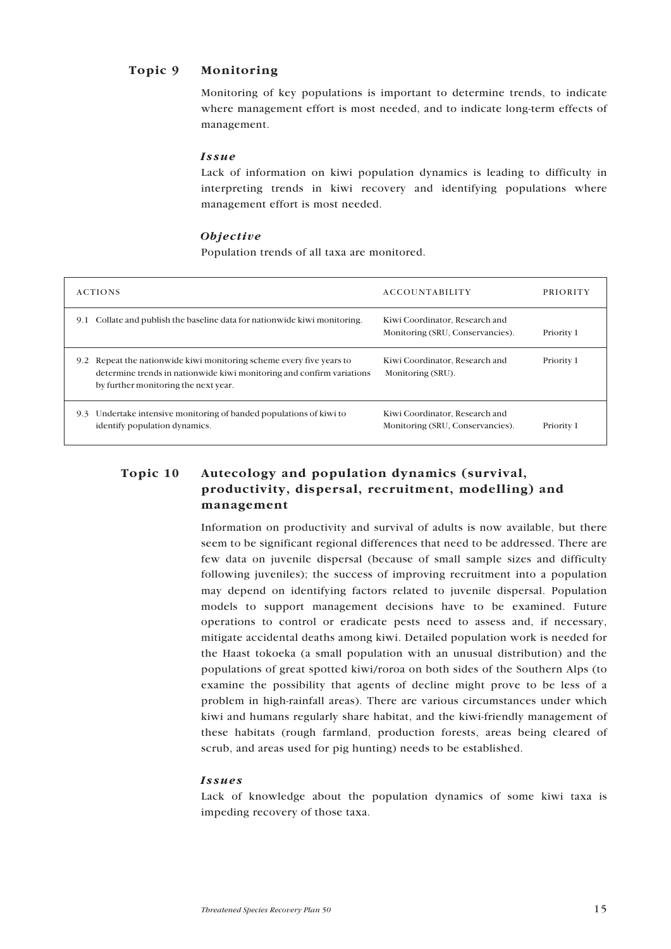## **Topic 9 Monitoring**

Monitoring of key populations is important to determine trends, to indicate where management effort is most needed, and to indicate long-term effects of management.

### *Issue*

Lack of information on kiwi population dynamics is leading to difficulty in interpreting trends in kiwi recovery and identifying populations where management effort is most needed.

### *Objective*

Population trends of all taxa are monitored.

| <b>ACTIONS</b>                                                                                                                                                                           | <b>ACCOUNTABILITY</b>                                              | <b>PRIORITY</b> |
|------------------------------------------------------------------------------------------------------------------------------------------------------------------------------------------|--------------------------------------------------------------------|-----------------|
| Collate and publish the baseline data for nationwide kiwi monitoring.<br>9.1                                                                                                             | Kiwi Coordinator, Research and<br>Monitoring (SRU, Conservancies). | Priority 1      |
| Repeat the nationwide kiwi monitoring scheme every five years to<br>9.2<br>determine trends in nationwide kiwi monitoring and confirm variations<br>by further monitoring the next year. | Kiwi Coordinator, Research and<br>Monitoring (SRU).                | Priority 1      |
| Undertake intensive monitoring of banded populations of kiwi to<br>9.3<br>identify population dynamics.                                                                                  | Kiwi Coordinator, Research and<br>Monitoring (SRU, Conservancies). | Priority 1      |

# **Topic 10 Autecology and population dynamics (survival, productivity, dispersal, recruitment, modelling) and management**

Information on productivity and survival of adults is now available, but there seem to be significant regional differences that need to be addressed. There are few data on juvenile dispersal (because of small sample sizes and difficulty following juveniles); the success of improving recruitment into a population may depend on identifying factors related to juvenile dispersal. Population models to support management decisions have to be examined. Future operations to control or eradicate pests need to assess and, if necessary, mitigate accidental deaths among kiwi. Detailed population work is needed for the Haast tokoeka (a small population with an unusual distribution) and the populations of great spotted kiwi/roroa on both sides of the Southern Alps (to examine the possibility that agents of decline might prove to be less of a problem in high-rainfall areas). There are various circumstances under which kiwi and humans regularly share habitat, and the kiwi-friendly management of these habitats (rough farmland, production forests, areas being cleared of scrub, and areas used for pig hunting) needs to be established.

### *Issues*

Lack of knowledge about the population dynamics of some kiwi taxa is impeding recovery of those taxa.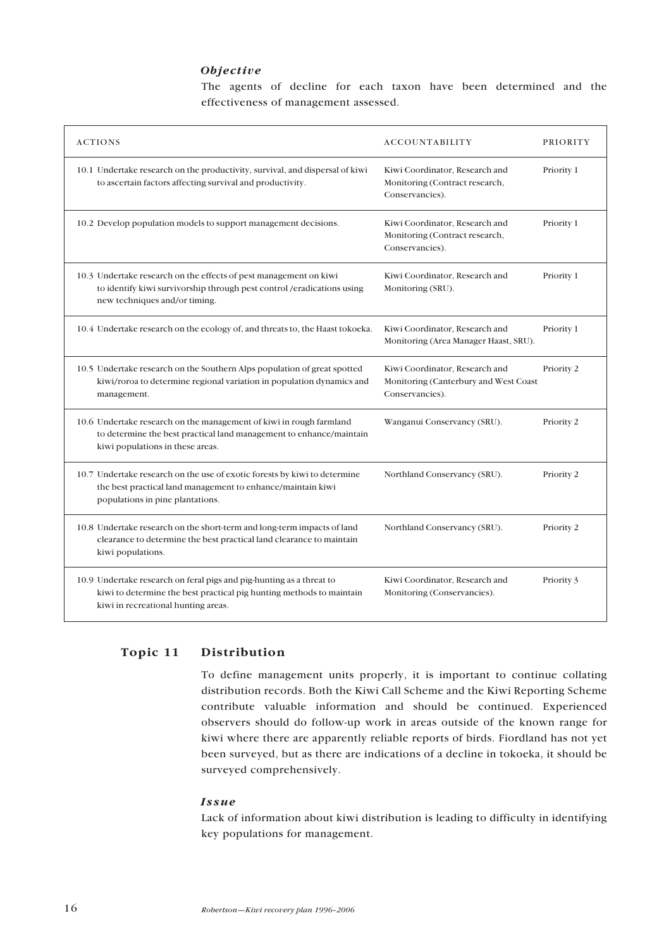### *Objective*

The agents of decline for each taxon have been determined and the effectiveness of management assessed.

| <b>ACTIONS</b>                                                                                                                                                                      | <b>ACCOUNTABILITY</b>                                                                      | <b>PRIORITY</b> |
|-------------------------------------------------------------------------------------------------------------------------------------------------------------------------------------|--------------------------------------------------------------------------------------------|-----------------|
| 10.1 Undertake research on the productivity, survival, and dispersal of kiwi<br>to ascertain factors affecting survival and productivity.                                           | Kiwi Coordinator, Research and<br>Monitoring (Contract research,<br>Conservancies).        | Priority 1      |
| 10.2 Develop population models to support management decisions.                                                                                                                     | Kiwi Coordinator, Research and<br>Monitoring (Contract research,<br>Conservancies).        | Priority 1      |
| 10.3 Undertake research on the effects of pest management on kiwi<br>to identify kiwi survivorship through pest control /eradications using<br>new techniques and/or timing.        | Kiwi Coordinator, Research and<br>Monitoring (SRU).                                        | Priority 1      |
| 10.4 Undertake research on the ecology of, and threats to, the Haast tokoeka.                                                                                                       | Kiwi Coordinator, Research and<br>Monitoring (Area Manager Haast, SRU).                    | Priority 1      |
| 10.5 Undertake research on the Southern Alps population of great spotted<br>kiwi/roroa to determine regional variation in population dynamics and<br>management.                    | Kiwi Coordinator, Research and<br>Monitoring (Canterbury and West Coast<br>Conservancies). | Priority 2      |
| 10.6 Undertake research on the management of kiwi in rough farmland<br>to determine the best practical land management to enhance/maintain<br>kiwi populations in these areas.      | Wanganui Conservancy (SRU).                                                                | Priority 2      |
| 10.7 Undertake research on the use of exotic forests by kiwi to determine<br>the best practical land management to enhance/maintain kiwi<br>populations in pine plantations.        | Northland Conservancy (SRU).                                                               | Priority 2      |
| 10.8 Undertake research on the short-term and long-term impacts of land<br>clearance to determine the best practical land clearance to maintain<br>kiwi populations.                | Northland Conservancy (SRU).                                                               | Priority 2      |
| 10.9 Undertake research on feral pigs and pig-hunting as a threat to<br>kiwi to determine the best practical pig hunting methods to maintain<br>kiwi in recreational hunting areas. | Kiwi Coordinator, Research and<br>Monitoring (Conservancies).                              | Priority 3      |

## **Topic 11 Distribution**

To define management units properly, it is important to continue collating distribution records. Both the Kiwi Call Scheme and the Kiwi Reporting Scheme contribute valuable information and should be continued. Experienced observers should do follow-up work in areas outside of the known range for kiwi where there are apparently reliable reports of birds. Fiordland has not yet been surveyed, but as there are indications of a decline in tokoeka, it should be surveyed comprehensively.

#### *Issue*

Lack of information about kiwi distribution is leading to difficulty in identifying key populations for management.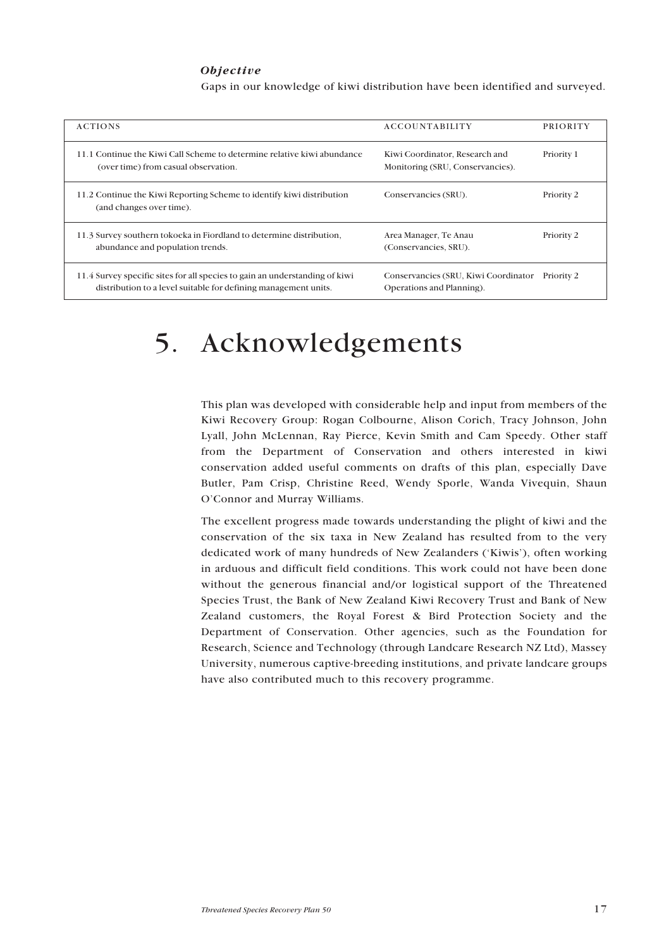#### *Objective*

Gaps in our knowledge of kiwi distribution have been identified and surveyed.

| <b>ACTIONS</b>                                                                                                                                 | ACCOUNTABILITY                                                     | <b>PRIORITY</b> |
|------------------------------------------------------------------------------------------------------------------------------------------------|--------------------------------------------------------------------|-----------------|
| 11.1 Continue the Kiwi Call Scheme to determine relative kiwi abundance<br>(over time) from casual observation.                                | Kiwi Coordinator, Research and<br>Monitoring (SRU, Conservancies). | Priority 1      |
| 11.2 Continue the Kiwi Reporting Scheme to identify kiwi distribution<br>(and changes over time).                                              | Conservancies (SRU).                                               | Priority 2      |
| 11.3 Survey southern to koeka in Fiordland to determine distribution,<br>abundance and population trends.                                      | Area Manager, Te Anau<br>(Conservancies, SRU).                     | Priority 2      |
| 11.4 Survey specific sites for all species to gain an understanding of kiwi<br>distribution to a level suitable for defining management units. | Conservancies (SRU, Kiwi Coordinator<br>Operations and Planning).  | Priority 2      |

# 5. Acknowledgements

This plan was developed with considerable help and input from members of the Kiwi Recovery Group: Rogan Colbourne, Alison Corich, Tracy Johnson, John Lyall, John McLennan, Ray Pierce, Kevin Smith and Cam Speedy. Other staff from the Department of Conservation and others interested in kiwi conservation added useful comments on drafts of this plan, especially Dave Butler, Pam Crisp, Christine Reed, Wendy Sporle, Wanda Vivequin, Shaun O'Connor and Murray Williams.

The excellent progress made towards understanding the plight of kiwi and the conservation of the six taxa in New Zealand has resulted from to the very dedicated work of many hundreds of New Zealanders ('Kiwis'), often working in arduous and difficult field conditions. This work could not have been done without the generous financial and/or logistical support of the Threatened Species Trust, the Bank of New Zealand Kiwi Recovery Trust and Bank of New Zealand customers, the Royal Forest & Bird Protection Society and the Department of Conservation. Other agencies, such as the Foundation for Research, Science and Technology (through Landcare Research NZ Ltd), Massey University, numerous captive-breeding institutions, and private landcare groups have also contributed much to this recovery programme.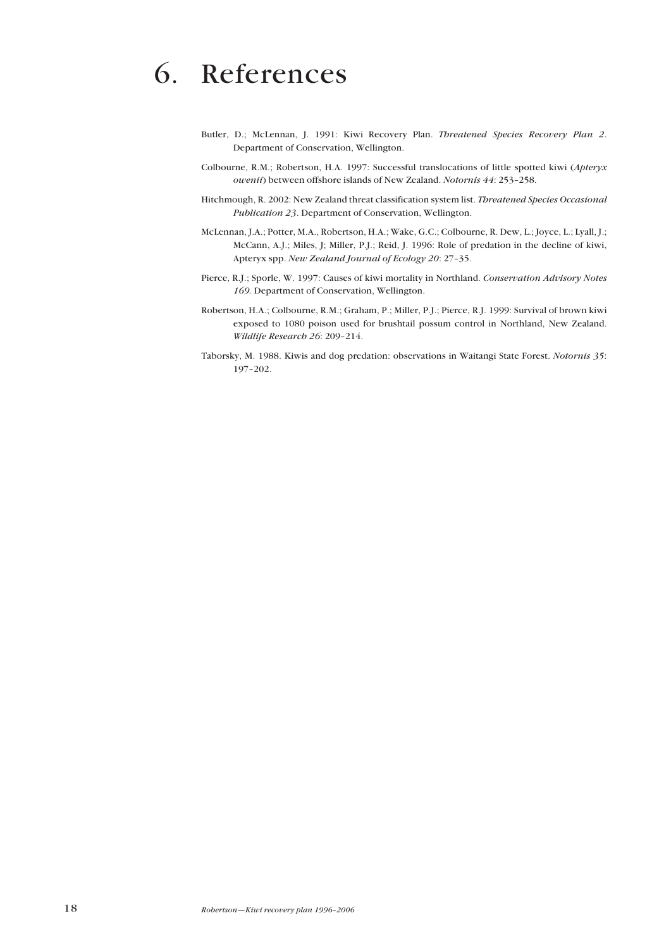# 6. References

- Butler, D.; McLennan, J. 1991: Kiwi Recovery Plan. *Threatened Species Recovery Plan 2*. Department of Conservation, Wellington.
- Colbourne, R.M.; Robertson, H.A. 1997: Successful translocations of little spotted kiwi (*Apteryx owenii*) between offshore islands of New Zealand. *Notornis 44*: 253–258.
- Hitchmough, R. 2002: New Zealand threat classification system list. *Threatened Species Occasional Publication 23*. Department of Conservation, Wellington.
- McLennan, J.A.; Potter, M.A., Robertson, H.A.; Wake, G.C.; Colbourne, R. Dew, L.; Joyce, L.; Lyall, J.; McCann, A.J.; Miles, J; Miller, P.J.; Reid, J. 1996: Role of predation in the decline of kiwi, Apteryx spp. *New Zealand Journal of Ecology 20*: 27–35.
- Pierce, R.J.; Sporle, W. 1997: Causes of kiwi mortality in Northland. *Conservation Advisory Notes 169.* Department of Conservation, Wellington.
- Robertson, H.A.; Colbourne, R.M.; Graham, P.; Miller, P.J.; Pierce, R.J. 1999: Survival of brown kiwi exposed to 1080 poison used for brushtail possum control in Northland, New Zealand. *Wildlife Research 26*: 209–214.
- Taborsky, M. 1988. Kiwis and dog predation: observations in Waitangi State Forest. *Notornis 35*: 197–202.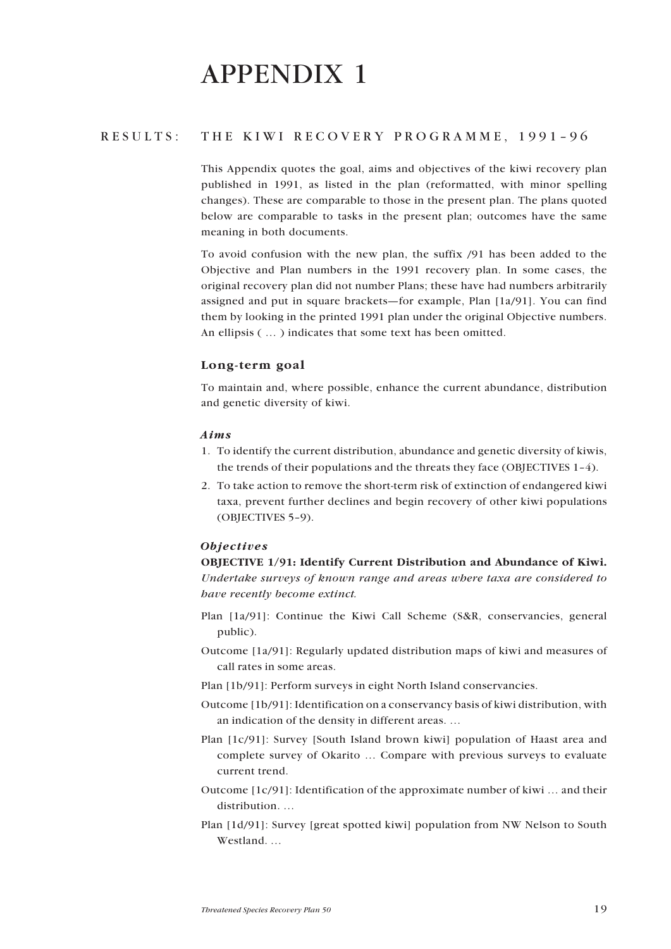# APPENDIX 1

## RESULTS: THE KIWI RECOVERY PROGRAMME, 1991–96

This Appendix quotes the goal, aims and objectives of the kiwi recovery plan published in 1991, as listed in the plan (reformatted, with minor spelling changes). These are comparable to those in the present plan. The plans quoted below are comparable to tasks in the present plan; outcomes have the same meaning in both documents.

To avoid confusion with the new plan, the suffix /91 has been added to the Objective and Plan numbers in the 1991 recovery plan. In some cases, the original recovery plan did not number Plans; these have had numbers arbitrarily assigned and put in square brackets—for example, Plan [1a/91]. You can find them by looking in the printed 1991 plan under the original Objective numbers. An ellipsis ( … ) indicates that some text has been omitted.

## Long-term goal

To maintain and, where possible, enhance the current abundance, distribution and genetic diversity of kiwi.

#### *Aims*

- 1. To identify the current distribution, abundance and genetic diversity of kiwis, the trends of their populations and the threats they face (OBJECTIVES 1–4).
- 2. To take action to remove the short-term risk of extinction of endangered kiwi taxa, prevent further declines and begin recovery of other kiwi populations (OBJECTIVES 5–9).

#### *Objectives*

OBJECTIVE 1/91: Identify Current Distribution and Abundance of Kiwi. *Undertake surveys of known range and areas where taxa are considered to have recently become extinct.*

- Plan [1a/91]: Continue the Kiwi Call Scheme (S&R, conservancies, general public).
- Outcome [1a/91]: Regularly updated distribution maps of kiwi and measures of call rates in some areas.
- Plan [1b/91]: Perform surveys in eight North Island conservancies.
- Outcome [1b/91]: Identification on a conservancy basis of kiwi distribution, with an indication of the density in different areas. …
- Plan [1c/91]: Survey [South Island brown kiwi] population of Haast area and complete survey of Okarito … Compare with previous surveys to evaluate current trend.
- Outcome [1c/91]: Identification of the approximate number of kiwi … and their distribution. …
- Plan [1d/91]: Survey [great spotted kiwi] population from NW Nelson to South Westland. …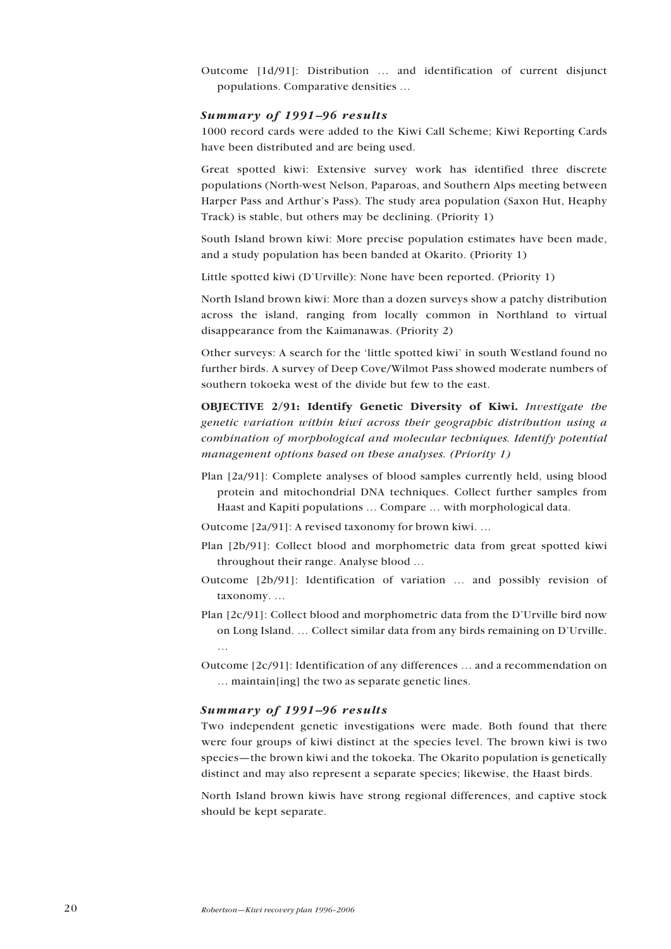Outcome [1d/91]: Distribution … and identification of current disjunct populations. Comparative densities …

#### *Summary of 1991–96 results*

1000 record cards were added to the Kiwi Call Scheme; Kiwi Reporting Cards have been distributed and are being used.

Great spotted kiwi: Extensive survey work has identified three discrete populations (North-west Nelson, Paparoas, and Southern Alps meeting between Harper Pass and Arthur's Pass). The study area population (Saxon Hut, Heaphy Track) is stable, but others may be declining. (Priority 1)

South Island brown kiwi: More precise population estimates have been made, and a study population has been banded at Okarito. (Priority 1)

Little spotted kiwi (D'Urville): None have been reported. (Priority 1)

North Island brown kiwi: More than a dozen surveys show a patchy distribution across the island, ranging from locally common in Northland to virtual disappearance from the Kaimanawas. (Priority 2)

Other surveys: A search for the 'little spotted kiwi' in south Westland found no further birds. A survey of Deep Cove/Wilmot Pass showed moderate numbers of southern tokoeka west of the divide but few to the east.

OBJECTIVE 2/91: Identify Genetic Diversity of Kiwi. *Investigate the genetic variation within kiwi across their geographic distribution using a combination of morphological and molecular techniques. Identify potential management options based on these analyses. (Priority 1)*

Plan [2a/91]: Complete analyses of blood samples currently held, using blood protein and mitochondrial DNA techniques. Collect further samples from Haast and Kapiti populations … Compare … with morphological data.

Outcome [2a/91]: A revised taxonomy for brown kiwi. …

- Plan [2b/91]: Collect blood and morphometric data from great spotted kiwi throughout their range. Analyse blood …
- Outcome [2b/91]: Identification of variation … and possibly revision of taxonomy. …
- Plan [2c/91]: Collect blood and morphometric data from the D'Urville bird now on Long Island. … Collect similar data from any birds remaining on D'Urville. …
- Outcome [2c/91]: Identification of any differences … and a recommendation on … maintain[ing] the two as separate genetic lines.

#### *Summary of 1991–96 results*

Two independent genetic investigations were made. Both found that there were four groups of kiwi distinct at the species level. The brown kiwi is two species—the brown kiwi and the tokoeka. The Okarito population is genetically distinct and may also represent a separate species; likewise, the Haast birds.

North Island brown kiwis have strong regional differences, and captive stock should be kept separate.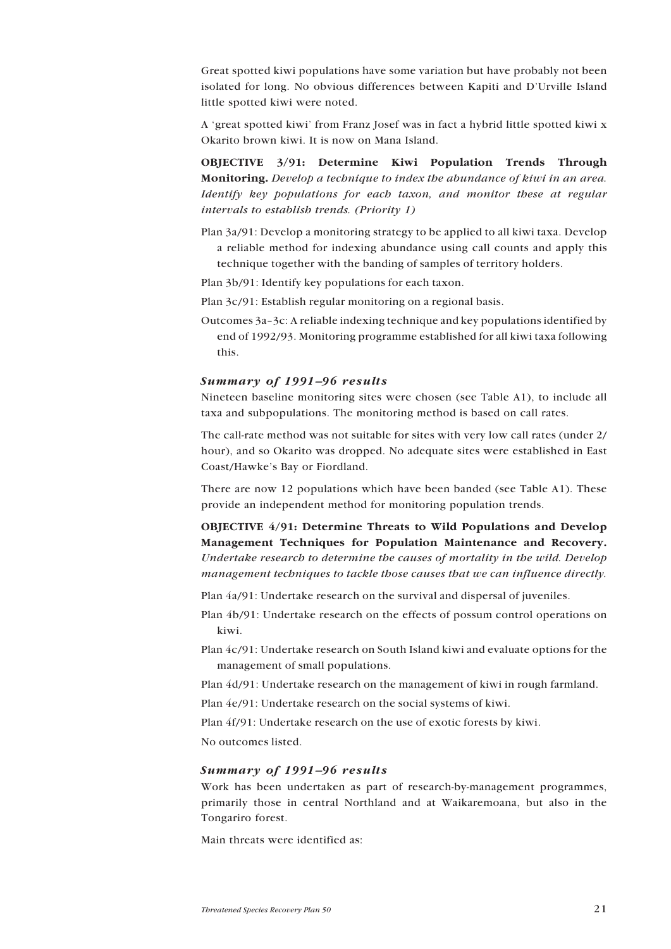Great spotted kiwi populations have some variation but have probably not been isolated for long. No obvious differences between Kapiti and D'Urville Island little spotted kiwi were noted.

A 'great spotted kiwi' from Franz Josef was in fact a hybrid little spotted kiwi x Okarito brown kiwi. It is now on Mana Island.

OBJECTIVE 3/91: Determine Kiwi Population Trends Through Monitoring. *Develop a technique to index the abundance of kiwi in an area. Identify key populations for each taxon, and monitor these at regular intervals to establish trends. (Priority 1)*

- Plan 3a/91: Develop a monitoring strategy to be applied to all kiwi taxa. Develop a reliable method for indexing abundance using call counts and apply this technique together with the banding of samples of territory holders.
- Plan 3b/91: Identify key populations for each taxon.
- Plan 3c/91: Establish regular monitoring on a regional basis.
- Outcomes 3a–3c: A reliable indexing technique and key populations identified by end of 1992/93. Monitoring programme established for all kiwi taxa following this.

#### *Summary of 1991–96 results*

Nineteen baseline monitoring sites were chosen (see Table A1), to include all taxa and subpopulations. The monitoring method is based on call rates.

The call-rate method was not suitable for sites with very low call rates (under 2/ hour), and so Okarito was dropped. No adequate sites were established in East Coast/Hawke's Bay or Fiordland.

There are now 12 populations which have been banded (see Table A1). These provide an independent method for monitoring population trends.

OBJECTIVE 4/91: Determine Threats to Wild Populations and Develop Management Techniques for Population Maintenance and Recovery. *Undertake research to determine the causes of mortality in the wild. Develop management techniques to tackle those causes that we can influence directly.*

Plan 4a/91: Undertake research on the survival and dispersal of juveniles.

Plan 4b/91: Undertake research on the effects of possum control operations on kiwi.

Plan 4c/91: Undertake research on South Island kiwi and evaluate options for the management of small populations.

Plan 4d/91: Undertake research on the management of kiwi in rough farmland.

Plan 4e/91: Undertake research on the social systems of kiwi.

Plan 4f/91: Undertake research on the use of exotic forests by kiwi.

No outcomes listed.

### *Summary of 1991–96 results*

Work has been undertaken as part of research-by-management programmes, primarily those in central Northland and at Waikaremoana, but also in the Tongariro forest.

Main threats were identified as: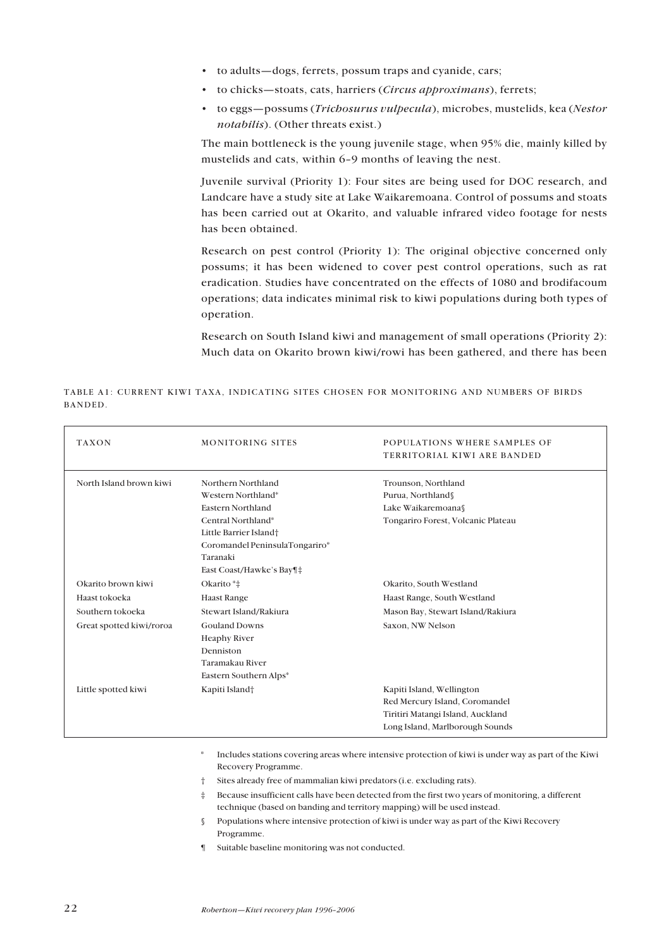- to adults—dogs, ferrets, possum traps and cyanide, cars;
- to chicks—stoats, cats, harriers (*Circus approximans*), ferrets;
- to eggs—possums (*Trichosurus vulpecula*), microbes, mustelids, kea (*Nestor notabilis*). (Other threats exist.)

The main bottleneck is the young juvenile stage, when 95% die, mainly killed by mustelids and cats, within 6–9 months of leaving the nest.

Juvenile survival (Priority 1): Four sites are being used for DOC research, and Landcare have a study site at Lake Waikaremoana. Control of possums and stoats has been carried out at Okarito, and valuable infrared video footage for nests has been obtained.

Research on pest control (Priority 1): The original objective concerned only possums; it has been widened to cover pest control operations, such as rat eradication. Studies have concentrated on the effects of 1080 and brodifacoum operations; data indicates minimal risk to kiwi populations during both types of operation.

Research on South Island kiwi and management of small operations (Priority 2): Much data on Okarito brown kiwi/rowi has been gathered, and there has been

| <b>TAXON</b>             | <b>MONITORING SITES</b>                                                                                                                                                                 | POPULATIONS WHERE SAMPLES OF<br>TERRITORIAL KIWI ARE BANDED                                                                         |
|--------------------------|-----------------------------------------------------------------------------------------------------------------------------------------------------------------------------------------|-------------------------------------------------------------------------------------------------------------------------------------|
| North Island brown kiwi  | Northern Northland<br>Western Northland*<br>Eastern Northland<br>Central Northland*<br>Little Barrier Island†<br>Coromandel PeninsulaTongariro*<br>Taranaki<br>East Coast/Hawke's Bay¶‡ | Trounson, Northland<br>Purua, Northland<br>Lake Waikaremoana<br>Tongariro Forest, Volcanic Plateau                                  |
| Okarito brown kiwi       | Okarito*‡                                                                                                                                                                               | Okarito, South Westland                                                                                                             |
| Haast tokoeka            | <b>Haast Range</b>                                                                                                                                                                      | Haast Range, South Westland                                                                                                         |
| Southern tokoeka         | Stewart Island/Rakiura                                                                                                                                                                  | Mason Bay, Stewart Island/Rakiura                                                                                                   |
| Great spotted kiwi/roroa | <b>Gouland Downs</b><br><b>Heaphy River</b><br>Denniston<br>Taramakau River<br>Eastern Southern Alps*                                                                                   | Saxon, NW Nelson                                                                                                                    |
| Little spotted kiwi      | Kapiti Island <sup>+</sup>                                                                                                                                                              | Kapiti Island, Wellington<br>Red Mercury Island, Coromandel<br>Tiritiri Matangi Island, Auckland<br>Long Island, Marlborough Sounds |

TABLE A1: CURRENT KIWI TAXA, INDICATING SITES CHOSEN FOR MONITORING AND NUMBERS OF BIRDS BANDED.

> \* Includes stations covering areas where intensive protection of kiwi is under way as part of the Kiwi Recovery Programme.

- † Sites already free of mammalian kiwi predators (i.e. excluding rats).
- ‡ Because insufficient calls have been detected from the first two years of monitoring, a different technique (based on banding and territory mapping) will be used instead.
- § Populations where intensive protection of kiwi is under way as part of the Kiwi Recovery Programme.
- ¶ Suitable baseline monitoring was not conducted.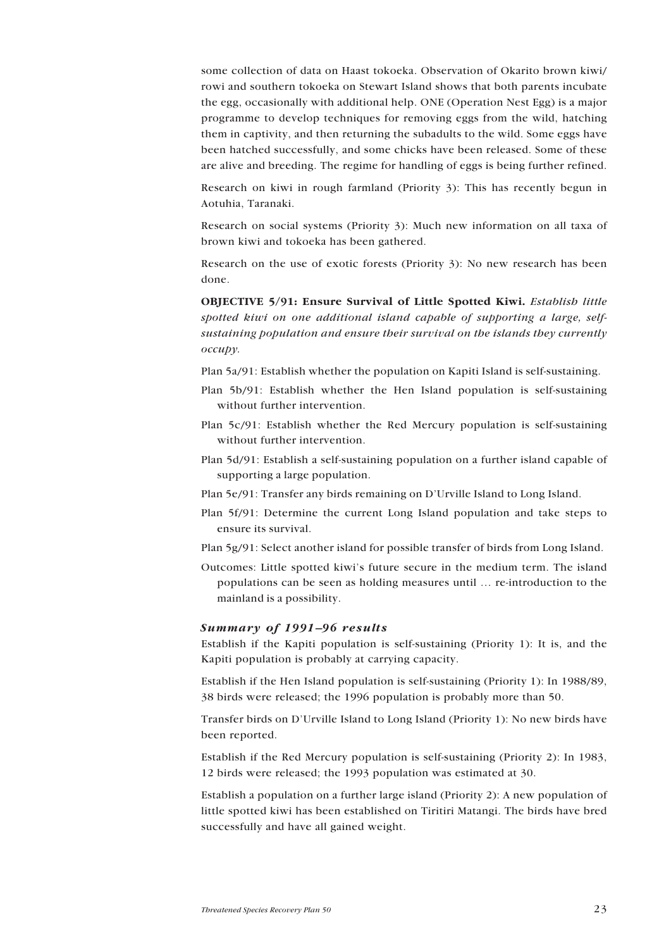some collection of data on Haast tokoeka. Observation of Okarito brown kiwi/ rowi and southern tokoeka on Stewart Island shows that both parents incubate the egg, occasionally with additional help. ONE (Operation Nest Egg) is a major programme to develop techniques for removing eggs from the wild, hatching them in captivity, and then returning the subadults to the wild. Some eggs have been hatched successfully, and some chicks have been released. Some of these are alive and breeding. The regime for handling of eggs is being further refined.

Research on kiwi in rough farmland (Priority 3): This has recently begun in Aotuhia, Taranaki.

Research on social systems (Priority 3): Much new information on all taxa of brown kiwi and tokoeka has been gathered.

Research on the use of exotic forests (Priority 3): No new research has been done.

OBJECTIVE 5/91: Ensure Survival of Little Spotted Kiwi. *Establish little spotted kiwi on one additional island capable of supporting a large, selfsustaining population and ensure their survival on the islands they currently occupy.*

Plan 5a/91: Establish whether the population on Kapiti Island is self-sustaining.

- Plan 5b/91: Establish whether the Hen Island population is self-sustaining without further intervention.
- Plan 5c/91: Establish whether the Red Mercury population is self-sustaining without further intervention.
- Plan 5d/91: Establish a self-sustaining population on a further island capable of supporting a large population.
- Plan 5e/91: Transfer any birds remaining on D'Urville Island to Long Island.
- Plan 5f/91: Determine the current Long Island population and take steps to ensure its survival.
- Plan 5g/91: Select another island for possible transfer of birds from Long Island.
- Outcomes: Little spotted kiwi's future secure in the medium term. The island populations can be seen as holding measures until … re-introduction to the mainland is a possibility.

#### *Summary of 1991–96 results*

Establish if the Kapiti population is self-sustaining (Priority 1): It is, and the Kapiti population is probably at carrying capacity.

Establish if the Hen Island population is self-sustaining (Priority 1): In 1988/89, 38 birds were released; the 1996 population is probably more than 50.

Transfer birds on D'Urville Island to Long Island (Priority 1): No new birds have been reported.

Establish if the Red Mercury population is self-sustaining (Priority 2): In 1983, 12 birds were released; the 1993 population was estimated at 30.

Establish a population on a further large island (Priority 2): A new population of little spotted kiwi has been established on Tiritiri Matangi. The birds have bred successfully and have all gained weight.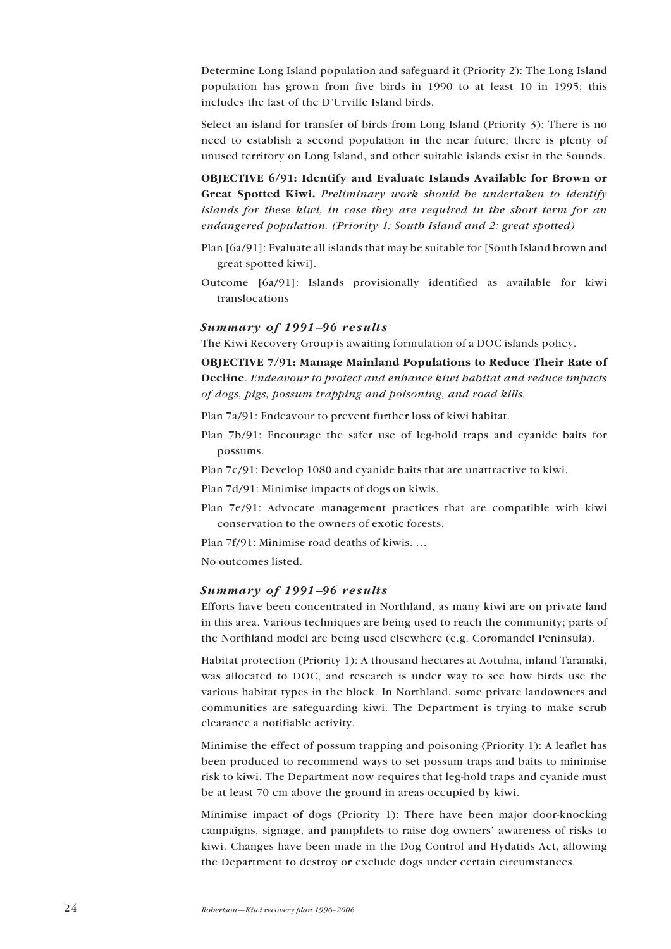Determine Long Island population and safeguard it (Priority 2): The Long Island population has grown from five birds in 1990 to at least 10 in 1995; this includes the last of the D'Urville Island birds.

Select an island for transfer of birds from Long Island (Priority 3): There is no need to establish a second population in the near future; there is plenty of unused territory on Long Island, and other suitable islands exist in the Sounds.

OBJECTIVE 6/91: Identify and Evaluate Islands Available for Brown or Great Spotted Kiwi. *Preliminary work should be undertaken to identify islands for these kiwi, in case they are required in the short term for an endangered population. (Priority 1: South Island and 2: great spotted)*

- Plan [6a/91]: Evaluate all islands that may be suitable for [South Island brown and great spotted kiwi].
- Outcome [6a/91]: Islands provisionally identified as available for kiwi translocations

#### *Summary of 1991–96 results*

The Kiwi Recovery Group is awaiting formulation of a DOC islands policy.

OBJECTIVE 7/91: Manage Mainland Populations to Reduce Their Rate of Decline. *Endeavour to protect and enhance kiwi habitat and reduce impacts of dogs, pigs, possum trapping and poisoning, and road kills.*

Plan 7a/91: Endeavour to prevent further loss of kiwi habitat.

Plan 7b/91: Encourage the safer use of leg-hold traps and cyanide baits for possums.

Plan 7c/91: Develop 1080 and cyanide baits that are unattractive to kiwi.

Plan 7d/91: Minimise impacts of dogs on kiwis.

- Plan 7e/91: Advocate management practices that are compatible with kiwi conservation to the owners of exotic forests.
- Plan 7f/91: Minimise road deaths of kiwis. …

No outcomes listed.

#### *Summary of 1991–96 results*

Efforts have been concentrated in Northland, as many kiwi are on private land in this area. Various techniques are being used to reach the community; parts of the Northland model are being used elsewhere (e.g. Coromandel Peninsula).

Habitat protection (Priority 1): A thousand hectares at Aotuhia, inland Taranaki, was allocated to DOC, and research is under way to see how birds use the various habitat types in the block. In Northland, some private landowners and communities are safeguarding kiwi. The Department is trying to make scrub clearance a notifiable activity.

Minimise the effect of possum trapping and poisoning (Priority 1): A leaflet has been produced to recommend ways to set possum traps and baits to minimise risk to kiwi. The Department now requires that leg-hold traps and cyanide must be at least 70 cm above the ground in areas occupied by kiwi.

Minimise impact of dogs (Priority 1): There have been major door-knocking campaigns, signage, and pamphlets to raise dog owners' awareness of risks to kiwi. Changes have been made in the Dog Control and Hydatids Act, allowing the Department to destroy or exclude dogs under certain circumstances.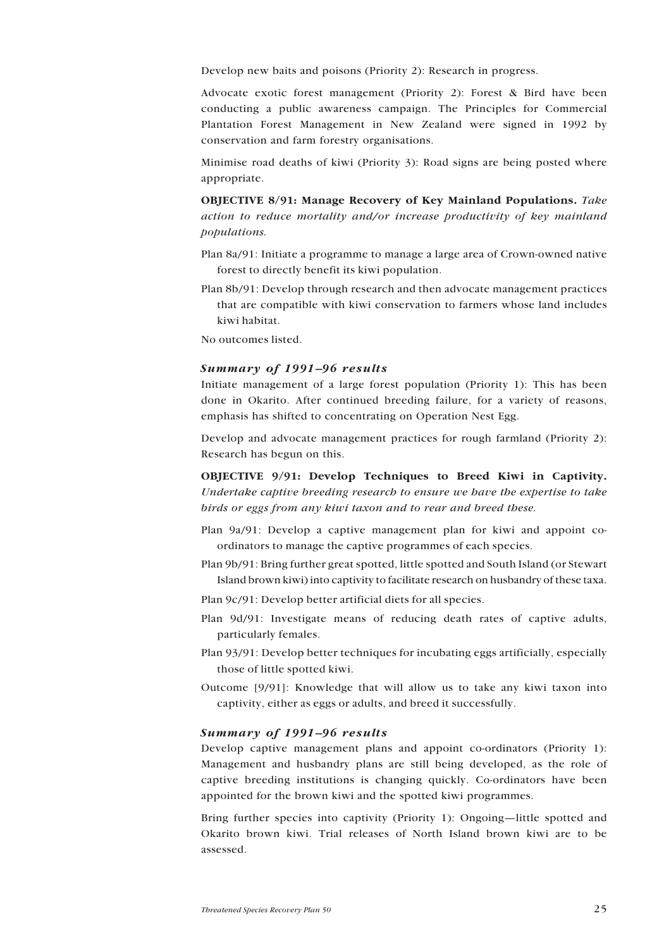Develop new baits and poisons (Priority 2): Research in progress.

Advocate exotic forest management (Priority 2): Forest & Bird have been conducting a public awareness campaign. The Principles for Commercial Plantation Forest Management in New Zealand were signed in 1992 by conservation and farm forestry organisations.

Minimise road deaths of kiwi (Priority 3): Road signs are being posted where appropriate.

OBJECTIVE 8/91: Manage Recovery of Key Mainland Populations. *Take action to reduce mortality and/or increase productivity of key mainland populations.*

- Plan 8a/91: Initiate a programme to manage a large area of Crown-owned native forest to directly benefit its kiwi population.
- Plan 8b/91: Develop through research and then advocate management practices that are compatible with kiwi conservation to farmers whose land includes kiwi habitat.

No outcomes listed.

### *Summary of 1991–96 results*

Initiate management of a large forest population (Priority 1): This has been done in Okarito. After continued breeding failure, for a variety of reasons, emphasis has shifted to concentrating on Operation Nest Egg.

Develop and advocate management practices for rough farmland (Priority 2): Research has begun on this.

OBJECTIVE 9/91: Develop Techniques to Breed Kiwi in Captivity. *Undertake captive breeding research to ensure we have the expertise to take birds or eggs from any kiwi taxon and to rear and breed these.*

- Plan 9a/91: Develop a captive management plan for kiwi and appoint coordinators to manage the captive programmes of each species.
- Plan 9b/91: Bring further great spotted, little spotted and South Island (or Stewart Island brown kiwi) into captivity to facilitate research on husbandry of these taxa.

Plan 9c/91: Develop better artificial diets for all species.

- Plan 9d/91: Investigate means of reducing death rates of captive adults, particularly females.
- Plan 93/91: Develop better techniques for incubating eggs artificially, especially those of little spotted kiwi.
- Outcome [9/91]: Knowledge that will allow us to take any kiwi taxon into captivity, either as eggs or adults, and breed it successfully.

### *Summary of 1991–96 results*

Develop captive management plans and appoint co-ordinators (Priority 1): Management and husbandry plans are still being developed, as the role of captive breeding institutions is changing quickly. Co-ordinators have been appointed for the brown kiwi and the spotted kiwi programmes.

Bring further species into captivity (Priority 1): Ongoing—little spotted and Okarito brown kiwi. Trial releases of North Island brown kiwi are to be assessed.